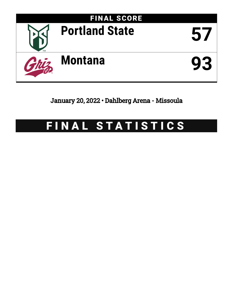

January 20, 2022 • Dahlberg Arena - Missoula

# FINAL STATISTICS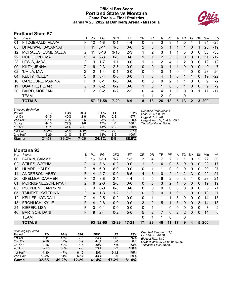#### **Official Box Score Portland State vs Montana Game Totals -- Final Statistics January 20, 2022 at Dahlberg Arena - Missoula**



## **Portland State 57**

| No. | Player                | S  | Pts      | FG       | 3FG      | FT      | 0R             | <b>DR</b> | TR             | PF           | A | TO | <b>B</b> lk    | Stl          | Min  | $+/-$ |
|-----|-----------------------|----|----------|----------|----------|---------|----------------|-----------|----------------|--------------|---|----|----------------|--------------|------|-------|
| 01  | FITZGERALD, ALAYA     | F. | 12       | 4-8      | $0 - 1$  | $4 - 4$ | 0              | 3         | 3              | 3            |   | 0  |                | 1            | 34   | $-25$ |
| 05  | DHALIWAL, SAVANNAH    | F. | 11       | $5 - 11$ | $1 - 3$  | $0 - 0$ | $\overline{2}$ | 3         | 5              |              |   | 1  | $\Omega$       |              | 23   | $-19$ |
| 12  | MORALES, ESMERALDA    | G  | 11       | $3 - 13$ | $3 - 10$ | $2 - 3$ | 1              | 2         | 3              |              |   | 3  | 0              | 0            | 33   | -35   |
| 22  | OGELE, RHEMA          | С  | 4        | $2 - 3$  | $0 - 0$  | $0 - 0$ | 1              | 1         | $\overline{2}$ | 3            | 0 | 0  | $\mathbf{0}$   | 0            | 11   | $-12$ |
| 23  | LEWIS, JADA           | G  | 3        | $1 - 7$  | $1 - 7$  | $0-0$   |                | 1         | $\overline{2}$ | 4            |   | 2  | $\Omega$       | 0            | 12   | $-12$ |
| 00  | KILTY, JENNA          | G  | 6        | $2 - 3$  | $2 - 3$  | $0 - 0$ | 0              | 0         | 0              |              |   | 0  | $\Omega$       | 0            | 9    | $-7$  |
| 02  | 'UHILA, MIA           | G  | 2        | $1 - 4$  | $0 - 1$  | $0-0$   | 0              | 0         | 0              |              | 0 | 4  | 0              | 0            | 23   | $-20$ |
| 04  | <b>KELTY, REILLY</b>  | С  | 6        | $3 - 4$  | $0 - 0$  | $0 - 0$ |                | 3         | 4              |              | 0 | 1  |                | $\Omega$     | 19   | $-22$ |
| 10  | CANZOBRE, MARINA      | F  | 0        | $0 - 1$  | $0 - 0$  | $0-0$   | 0              | 0         | 0              | 2            |   |    | 0              | 0            | 9    | $-2$  |
| 11  | <b>UGARTE, ITZIAR</b> | G  | $\Omega$ | $0 - 2$  | $0 - 2$  | $0 - 0$ | $\mathbf{1}$   | $\Omega$  | 1              | $\Omega$     | 0 |    | 0              | $\mathbf{0}$ | 9    | -9    |
| 20  | <b>BAIRD, MORGAN</b>  | F  | 2        | $0 - 2$  | $0 - 2$  | $2 - 2$ | 0              | 4         | 4              | 1            | 0 | 0  | 0              | 1            | 17   | -17   |
|     | <b>TEAM</b>           |    |          |          |          |         |                | 1         | $\overline{2}$ | $\mathbf{0}$ |   | 0  |                |              |      |       |
|     | <b>TOTALS</b>         |    |          | 57 21-58 | $7 - 29$ | $8-9$   | 8              | 18        | 26             | 18           | 6 | 13 | $\overline{2}$ | 3            | -200 |       |

| <b>Shooting By Period</b> |           |       |          |       |         |       | Deadball Rebounds: 1,0          |
|---------------------------|-----------|-------|----------|-------|---------|-------|---------------------------------|
| Period                    | FG        | FG%   | 3FG      | 3FG%  | FТ      | FT%   | Last FG: 4th-03:21              |
| 1st Qtr                   | $6 - 15$  | 40%   | $2-6$    | 33%   | $2 - 3$ | 67%   | Biggest Run: 7-0                |
| 2nd Qtr                   | $6 - 14$  | 43%   | $2-6$    | 33%   | $0 - 0$ | $0\%$ | Largest lead: By 2 at 1st-09:41 |
| 3rd Qtr                   | $4 - 15$  | 27%   | 1-6      | 17%   | $4 - 4$ | 100%  | Technical Fouls: None.          |
| 4th Qtr                   | $5 - 14$  | 36%   | $2 - 11$ | 18%   | $2 - 2$ | 100%  |                                 |
| 1st Half                  | $12 - 29$ | 41%   | $4 - 12$ | 33%   | $2 - 3$ | 67%   |                                 |
| 2nd Half                  | $9 - 29$  | 31%   | $3 - 17$ | 18%   | $6 - 6$ | 100%  |                                 |
| Game                      | $21 - 58$ | 36.2% | 7-29     | 24.1% | $8-9$   | 88.9% |                                 |

#### **Montana 93**

| No. | Player                 | S | Pts | FG       | 3FG       | <b>FT</b> | 0 <sub>R</sub> | DR | TR | PF             | A            | TO | Blk          | Stl | Min        | $+/-$        |
|-----|------------------------|---|-----|----------|-----------|-----------|----------------|----|----|----------------|--------------|----|--------------|-----|------------|--------------|
| 00  | FATKIN, SAMMY          | G | 16  | $7 - 10$ | $1 - 2$   | $1 - 3$   | 3              | 4  |    | 2              |              |    | 0            | 2   | 22         | 30           |
| 02  | STILES, SOPHIA         | G | 6   | $3-6$    | $0 - 2$   | $0 - 0$   | $\mathbf 1$    | 3  | 4  | 0              | 5            | 0  | $\mathbf{0}$ | 0   | 22         | 17           |
| 10  | HUARD, HALEY           | G | 18  | $6-9$    | $6-9$     | $0 - 0$   | 0              |    | 1  | 0              | 0            | 0  | 0            | 0   | 29         | 27           |
| 11  | ANDERSON, ABBY         | F | 14  | $4 - 7$  | $0 - 0$   | $6-6$     | 4              | 6  | 10 | $\overline{2}$ | 2            | 2  | 3            | 0   | 22         | 21           |
| 20  | <b>GFELLER, CARMEN</b> | F | 12  | $3 - 8$  | $2 - 4$   | $4 - 4$   | 1              | 5  | 6  | 2              | 0            | 3  |              | 0   | 23         | 21           |
| 01  | MORRIS-NELSON, NYAH    | G | 6   | $2-6$    | $2 - 6$   | $0 - 0$   | 0              | 3  | 3  | 2              | 1            | 0  | $\mathbf{0}$ | 0   | 19         | 19           |
| 03  | POLYMENI, LAMPRINI     | G | 0   | $0-0$    | $0 - 0$   | $0-0$     | $\Omega$       | 0  | 0  | 0              | 0            | 0  | 0            | 0   | 5          | $-1$         |
| 05  | TSINEKE, KATERINA      | G | 4   | $1 - 3$  | $1 - 2$   | $1 - 2$   | $\Omega$       | 0  | 0  |                | $\mathbf{0}$ |    | 0            | 0   | 13         | 11           |
| 12  | <b>KELLER, KYNDALL</b> | G | 4   | $2 - 5$  | $0 - 2$   | $0 - 0$   | $\Omega$       |    |    |                | 3            | 0  | 0            | 0   | 14         | 15           |
| 13  | <b>FROHLICH, KYLIE</b> | F | 4   | $2-6$    | $0 - 0$   | $0 - 0$   | 3              | 2  | 5  |                | 3            | 0  | $\mathbf{0}$ | 3   | 14         | 18           |
| 24  | KIEFER, LISA           | F | 0   | $0 - 1$  | $0 - 0$   | $0 - 0$   | $\Omega$       | 1  | 1  | 0              | 0            | 0  | 0            | 0   | 3          | 2            |
| 40  | <b>BARTSCH, DANI</b>   | F | 9   | $2 - 4$  | $0 - 2$   | $5-6$     | 5              | 2  | 7  | 0              | 2            | 2  | $\Omega$     | 0   | 14         | $\mathbf{0}$ |
|     | <b>TEAM</b>            |   |     |          |           |           | $\Omega$       | 1  | 1  | $\Omega$       |              | 0  |              |     |            |              |
|     | <b>TOTALS</b>          |   |     | 93 32-65 | $12 - 29$ | $17 - 21$ | 17             | 29 | 46 | 11             | 17           | 9  | 4            | 5   | <b>200</b> |              |

| <b>Shooting By Period</b> |           |       |           |       |          |       |
|---------------------------|-----------|-------|-----------|-------|----------|-------|
| Period                    | FG        | FG%   | 3FG       | 3FG%  | FT       | FT%   |
| 1st Qtr                   | $5 - 11$  | 45%   | $2 - 6$   | 33%   | $9 - 12$ | 75%   |
| 2nd Qtr                   | $9 - 19$  | 47%   | $4 - 9$   | 44%   | $0 - 0$  | $0\%$ |
| 3rd Qtr                   | $9 - 18$  | 50%   | $4 - 8$   | 50%   | $5-6$    | 83%   |
| 4th Qtr                   | $9 - 17$  | 53%   | $2 - 6$   | 33%   | $3 - 3$  | 100%  |
| 1st Half                  | $14 - 30$ | 47%   | $6 - 15$  | 40%   | $9 - 12$ | 75%   |
| 2nd Half                  | 18-35     | 51%   | $6 - 14$  | 43%   | $8-9$    | 89%   |
| Game                      | $32 - 65$ | 49.2% | $12 - 29$ | 41.4% | 17-21    | 81.0% |

*Deadball Rebounds:* 2,0 *Last FG:* 4th-01:57 *Biggest Run:* 13-0 *Largest lead:* By 37 at 4th-03:36 *Technical Fouls:* None.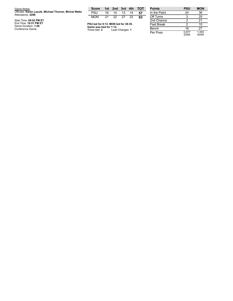| Game Notes:                                                                | <b>Score</b>                             |    |                 |    |     | 1st 2nd 3rd 4th TOT | <b>Points</b>     |
|----------------------------------------------------------------------------|------------------------------------------|----|-----------------|----|-----|---------------------|-------------------|
| Officials: Karen Lasuik, Michael Thorner, Michal Watts<br>Attendance: 2288 | PSU                                      | 16 | 14              | 13 | 14  | 57                  | In the Paint      |
|                                                                            | <b>MON</b>                               | 21 | 22 27           |    | -23 | 93                  | Off Turns         |
| Start Time: 09:02 PM ET                                                    |                                          |    |                 |    |     |                     | 2nd Chance        |
| End Time: 10:51 PM ET<br>Game Duration: 1:48                               | PSU led for 0:13. MON led for 38:35.     |    |                 |    |     |                     | <b>Fast Break</b> |
| Conference Game;                                                           | Game was tied for 1:12.<br>Times tied: 2 |    | Lead Changes: 1 |    |     |                     | Bench             |

| <b>Points</b>     | <b>PSU</b>     | <b>MON</b>     |
|-------------------|----------------|----------------|
| In the Paint      | 24             | 36             |
| Off Turns         | 3              | 20             |
| 2nd Chance        | 2              | 21             |
| <b>Fast Break</b> | 2              | 10             |
| Bench             | 16             | 27             |
| Per Poss          | 0.877<br>25/65 | 1.453<br>40/64 |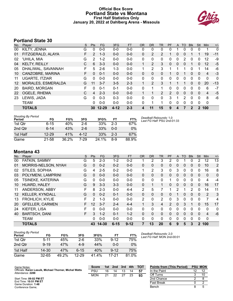#### **Official Box Score Portland State vs Montana First Half Statistics Only January 20, 2022 at Dahlberg Arena - Missoula**



## **Portland State 30**

| No. | Plaver                | S | <b>Pts</b> | <b>FG</b> | 3FG      | FT.     | <b>OR</b>    | <b>DR</b> | <b>TR</b>      | PF | A            | <b>TO</b>    | <b>Blk</b>   | Stl          | <b>Min</b>  | $+/-$        |
|-----|-----------------------|---|------------|-----------|----------|---------|--------------|-----------|----------------|----|--------------|--------------|--------------|--------------|-------------|--------------|
| 00  | KILTY, JENNA          | G | 0          | $0-0$     | $0 - 0$  | $0-0$   | 0            | 0         | 0              |    |              | 0            | 0            | 0            |             | 0            |
| 01  | FITZGERALD, ALAYA     | F | 2          | $1 - 3$   | $0 - 0$  | $0 - 0$ | 0            | 2         | 2              | 1  | 0            | 0            |              |              | 19          | $-11$        |
| 02  | 'UHILA, MIA           | G | 2          | $1 - 2$   | $0 - 0$  | $0 - 0$ | 0            | 0         | 0              | 0  | 0            | 2            | 0            | 0            | 12          | -9           |
| 04  | <b>KELTY, REILLY</b>  | C | 6          | $3 - 3$   | $0 - 0$  | $0 - 0$ |              | 2         | 3              | 0  | 0            | 0            |              | 0            | 12          | $-5$         |
| 05  | DHALIWAL, SAVANNAH    | F | 5          | $2 - 6$   | $1 - 3$  | $0 - 0$ |              | 2         | 3              |    |              |              | 0            | 1            | 14          | -6           |
| 10  | CANZOBRE, MARINA      | F | $\Omega$   | $0 - 1$   | $0 - 0$  | $0 - 0$ | $\Omega$     | $\Omega$  | $\Omega$       |    | 0            |              | $\Omega$     | $\mathbf{0}$ | 4           | $-3$         |
| 11  | <b>UGARTE, ITZIAR</b> | G | 0          | $0 - 0$   | $0 - 0$  | $0 - 0$ | 0            | 0         | 0              | 0  | 0            | 0            | $\mathbf 0$  | 0            | $\mathbf 0$ | $\mathbf{0}$ |
| 12  | MORALES, ESMERALDA    | G | 11         | $3 - 7$   | $3 - 5$  | $2 - 3$ | $\mathbf{1}$ | 2         | 3              |    |              |              | $\mathbf{0}$ | $\mathbf{0}$ | 20          | $-13$        |
| 20  | <b>BAIRD, MORGAN</b>  | F | 0          | $0 - 1$   | $0 - 1$  | $0 - 0$ | $\Omega$     | 1         |                | 0  | 0            | $\Omega$     | $\Omega$     | 0            | 6           | $-7$         |
| 22  | OGELE, RHEMA          | C | 4          | $2 - 3$   | $0 - 0$  | $0 - 0$ |              | 1         | $\overline{2}$ | 2  | $\Omega$     | $\mathbf{0}$ | $\mathbf{0}$ | $\mathbf{0}$ | 4           | $-5$         |
| 23  | LEWIS, JADA           | G | 0          | $0 - 3$   | $0 - 3$  | $0 - 0$ | 0            | 0         | 0              | 3  | 1            | 2            | $\Omega$     | $\Omega$     | 8           | -6           |
|     | <b>TEAM</b>           |   | 0          | $0 - 0$   | $0 - 0$  | $0 - 0$ | 0            | 1         |                | 0  | $\mathbf{0}$ | 0            | $\Omega$     | 0            | $\mathbf 0$ |              |
|     | <b>TOTALS</b>         |   |            | 30 12-29  | $4 - 12$ | $2 - 3$ | 4            | 11        | 15             | 9  | 4            |              | 2            | $\mathbf 2$  | 100         |              |

| <b>Shooting By Period</b><br>Period | FG        | FG%   | 3FG     | 3FG%  | FT      | FT%   |
|-------------------------------------|-----------|-------|---------|-------|---------|-------|
| 1st Qtr                             | $6 - 15$  | 40%   | $2-6$   | 33%   | $2-3$   | 67%   |
| 2nd Qtr                             | $6-14$    | 43%   | $2 - 6$ | 33%   | $0 - 0$ | $0\%$ |
| 1st Half                            | $12 - 29$ | 41%   | 4-12    | 33%   | $2-3$   | 67%   |
| Game                                | 21-58     | 36.2% | 7-29    | 24.1% | 8-9     | 88.9% |

*Deadball Rebounds:* 1,0 *Last FG Half:* PSU 2nd-01:33

## **Montana 43**

| No.     | Player                 | S  | <b>Pts</b> | <b>FG</b> | 3FG      | <b>FT</b> | <b>OR</b>    | <b>DR</b> | TR           | PF             | A            | TO | <b>B</b> lk  | Stl          | Min            | $+/-$          |
|---------|------------------------|----|------------|-----------|----------|-----------|--------------|-----------|--------------|----------------|--------------|----|--------------|--------------|----------------|----------------|
| 00      | FATKIN, SAMMY          | G  | 5          | $2 - 3$   | $1 - 2$  | $0 - 2$   |              | 2         | 3            | 2              | 0            |    | 0            | 2            | 12             | 13             |
| 01      | MORRIS-NELSON, NYAH    | G  | 0          | $0 - 2$   | $0 - 2$  | $0 - 0$   | 0            | 0         | 0            | 0              | 0            | 0  | $\mathbf{0}$ | 0            | 10             | $\overline{2}$ |
| 02      | STILES, SOPHIA         | G  | 4          | $2 - 5$   | $0 - 2$  | $0 - 0$   | 1            | 2         | 3            | 0              | 3            | 0  | 0            | 0            | 16             | 8              |
| 03      | POLYMENI, LAMPRINI     | G  | 0          | $0 - 0$   | $0 - 0$  | $0 - 0$   | 0            | 0         | $\mathbf{0}$ | 0              | 0            | 0  | $\mathbf{0}$ | 0            | 0              | $\mathbf 0$    |
| 05      | TSINEKE, KATERINA      | G  | 0          | $0 - 0$   | $0 - 0$  | $0 - 0$   | 0            | $\Omega$  | $\Omega$     |                | 0            | 0  | $\Omega$     | $\Omega$     | $\overline{4}$ | $-4$           |
| 10      | HUARD, HALEY           | G  | 9          | $3 - 3$   | $3 - 3$  | $0 - 0$   | $\mathbf{0}$ |           |              | 0              | 0            | 0  | $\mathbf{0}$ | $\Omega$     | 16             | 17             |
| 11      | ANDERSON, ABBY         | F  | 8          | $2 - 3$   | $0 - 0$  | $4 - 4$   | 2            | 5         |              |                | 2            | 1  | 2            | $\Omega$     | 14             | 11             |
| $12 \,$ | <b>KELLER, KYNDALL</b> | G  | 0          | $0 - 2$   | $0 - 1$  | $0 - 0$   | $\mathbf{0}$ | 0         | $\mathbf{0}$ | 0              |              | 0  | $\mathbf{0}$ | 0            | 2              | 3              |
| 13      | <b>FROHLICH, KYLIE</b> | F  | 2          | $1 - 3$   | $0 - 0$  | $0 - 0$   | 2            | 0         | 2            | 0              | 3            | 0  | $\Omega$     | $\Omega$     | 7              | 4              |
| 20      | <b>GFELLER, CARMEN</b> | F. | 12         | $3 - 7$   | $2 - 4$  | $4 - 4$   |              | 3         | 4            | $\overline{2}$ | $\mathbf{0}$ | 3  |              | $\Omega$     | 15             | 17             |
| 24      | KIEFER, LISA           | F  | 0          | $0 - 0$   | $0 - 0$  | $0 - 0$   | 0            | $\Omega$  | $\Omega$     | $\Omega$       | 0            | 0  | $\Omega$     | $\Omega$     | $\Omega$       | $\Omega$       |
| 40      | <b>BARTSCH, DANI</b>   | F  | 3          | $1 - 2$   | $0 - 1$  | $1 - 2$   | $\Omega$     | $\Omega$  | $\mathbf{0}$ | $\Omega$       | $\Omega$     | 0  | $\Omega$     | $\Omega$     | $\overline{4}$ | $-6$           |
|         | <b>TEAM</b>            |    | 0          | $0 - 0$   | $0 - 0$  | $0 - 0$   | 0            | $\Omega$  | $\Omega$     | 0              | 0            | 0  | $\Omega$     | $\Omega$     | 0              |                |
|         | <b>TOTALS</b>          |    | 43         | 14-30     | $6 - 15$ | $9 - 12$  | 7            | 13        | 20           | 6              | 9            | 5  | 3            | $\mathbf{2}$ | 100            |                |

| Shooting By Period |           |       |           |       |          |       |
|--------------------|-----------|-------|-----------|-------|----------|-------|
| Period             | FG        | FG%   | 3FG       | 3FG%  | FT       | FT%   |
| 1st Otr            | $5 - 11$  | 45%   | 2-6       | 33%   | $9 - 12$ | 75%   |
| 2nd Otr            | $9 - 19$  | 47%   | $4 - 9$   | 44%   | $0 - 0$  | $0\%$ |
| 1st Half           | $14 - 30$ | 47%   | 6-15      | 40%   | $9 - 12$ | 75%   |
| Game               | 32-65     | 49 2% | $12 - 29$ | 41.4% | 17-21    | 81.0% |

*Deadball Rebounds:* 2,0 *Last FG Half:* MON 2nd-00:01

| Game Notes:                                                                | <b>Score</b> | 1st | 2nd | 3rd | 4th | <b>- тот</b> | <b>Points from (This Period)</b> | <b>PSU MON</b> |  |
|----------------------------------------------------------------------------|--------------|-----|-----|-----|-----|--------------|----------------------------------|----------------|--|
| Officials: Karen Lasuik, Michael Thorner, Michal Watts<br>Attendance: 2288 | PSU          | 16  |     | 13  | 14  | -57          | In the Paint                     |                |  |
|                                                                            | <b>MON</b>   | 21  | つつ  | 27  | 23  | 93           | Off Turns                        |                |  |
| Start Time: 09:02 PM ET                                                    |              |     |     |     |     |              | 2nd Chance                       |                |  |
| End Time: 10:51 PM ET<br>Game Duration: 1:48                               |              |     |     |     |     |              | <b>Fast Break</b>                |                |  |
| Conference Game;                                                           |              |     |     |     |     |              | Bench                            |                |  |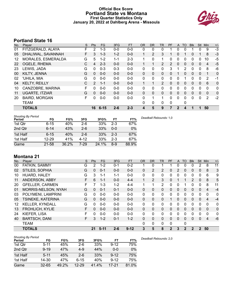#### **Official Box Score Portland State vs Montana First Quarter Statistics Only January 20, 2022 at Dahlberg Arena - Missoula**



## **Portland State 16**

| No. | Plaver                | S. | <b>Pts</b>    | <b>FG</b> | 3FG     | <b>FT</b> | <b>OR</b>    | <b>DR</b>    | TR             | PF       | A            | TO       | <b>BIK</b> | Stl          | Min            | $+/-$ |
|-----|-----------------------|----|---------------|-----------|---------|-----------|--------------|--------------|----------------|----------|--------------|----------|------------|--------------|----------------|-------|
| 01  | FITZGERALD, ALAYA     | F  | 2             | 1-3       | $0 - 0$ | $0 - 0$   | 0            | 0            | 0              |          | 0            | 0        |            | 0            | 9              | $-3$  |
| 05  | DHALIWAL, SAVANNAH    | F. | 3             | $1 - 3$   | $1-2$   | $0 - 0$   | 1            | 2            | 3              |          | $\Omega$     |          | 0          |              | 8              | $-3$  |
| 12  | MORALES, ESMERALDA    | G  | 5             | $1 - 2$   | 1-1     | $2 - 3$   |              | 0            | 1              | 0        | 0            | 0        | 0          | 0            | 10             | -5    |
| 22  | OGELE, RHEMA          | C  | 4             | $2 - 3$   | $0 - 0$ | $0 - 0$   | 1            |              | 2              | 2        | $\Omega$     | 0        | 0          | $\mathbf{0}$ | $\overline{4}$ | $-5$  |
| 23  | LEWIS, JADA           | G  | $\Omega$      | $0 - 3$   | $0 - 3$ | $0 - 0$   | $\mathbf{0}$ | 0            | 0              | 3        |              | 2        | 0          | $\Omega$     | 8              | -6    |
| 00  | KILTY, JENNA          | G  | $\mathbf{0}$  | $0 - 0$   | $0 - 0$ | $0 - 0$   | 0            | $\mathbf{0}$ | 0              | 0        |              | 0        | 0          | $\mathbf{0}$ | 1              | 0     |
| 02  | 'UHILA, MIA           | G  | 0             | $0 - 0$   | $0 - 0$ | $0 - 0$   | 0            | 0            | 0              | 0        | $\Omega$     |          | 0          | $\Omega$     | 2              | -1    |
| 04  | <b>KELTY, REILLY</b>  | C  | $\mathcal{P}$ | $1 - 1$   | $0 - 0$ | $0 - 0$   | 1            | 1            | $\overline{2}$ | $\Omega$ | $\Omega$     | 0        | 0          | $\Omega$     | 6              | 0     |
| 10  | CANZOBRE, MARINA      | F  | 0             | $0 - 0$   | $0 - 0$ | $0-0$     | 0            | $\mathbf{0}$ | 0              | 0        | $\Omega$     | 0        | 0          | $\Omega$     | 0              | 0     |
| 11  | <b>UGARTE, ITZIAR</b> | G  | 0             | $0 - 0$   | $0 - 0$ | $0 - 0$   | $\Omega$     | $\Omega$     | 0              | $\Omega$ | $\Omega$     | $\Omega$ | $\Omega$   | $\Omega$     | $\mathbf{0}$   | 0     |
| 20  | <b>BAIRD, MORGAN</b>  | F  | 0             | $0 - 0$   | $0 - 0$ | $0 - 0$   | $\Omega$     | 1            | 1              | 0        | $\Omega$     | 0        | 0          | $\Omega$     | 2              | $-2$  |
|     | TEAM                  |    |               |           |         |           | $\Omega$     | $\mathbf{0}$ | 0              | 0        |              | 0        |            |              |                |       |
|     | <b>TOTALS</b>         |    | 16            | $6 - 15$  | $2 - 6$ | $2 - 3$   | 4            | 5            | 9              |          | $\mathbf{2}$ | 4        |            |              | 50             |       |

| <b>Shooting By Period</b><br>Period | FG        | FG%   | 3FG      | 3FG%  | FT      | FT%   | Deadball Rebounds: 1,0 |
|-------------------------------------|-----------|-------|----------|-------|---------|-------|------------------------|
| 1st Qtr                             | $6 - 15$  | 40%   | $2-6$    | 33%   | $2 - 3$ | 67%   |                        |
| 2nd Qtr                             | $6 - 14$  | 43%   | $2-6$    | 33%   | $0 - 0$ | 0%    |                        |
| 1st Half                            | $6 - 15$  | 40%   | $2-6$    | 33%   | $2 - 3$ | 67%   |                        |
| 1st Half                            | $12 - 29$ | 41%   | $4 - 12$ | 33%   | $2 - 3$ | 67%   |                        |
| Game                                | 21-58     | 36.2% | 7-29     | 24.1% | $8-9$   | 88.9% |                        |

## **Montana 21**

| No. | Player                 | S | <b>Pts</b> | FG       | 3FG     | <b>FT</b> | <b>OR</b> | <b>DR</b> | TR             | <b>PF</b> | A | TO          | <b>B</b> lk | <b>Stl</b>   | Min          | $+/-$    |
|-----|------------------------|---|------------|----------|---------|-----------|-----------|-----------|----------------|-----------|---|-------------|-------------|--------------|--------------|----------|
| 00  | FATKIN, SAMMY          | G | 2          | $1 - 2$  | 0-1     | $0 - 2$   |           | 0         |                |           | 0 | 0           | 0           | 2            | 8            | 11       |
| 02  | STILES, SOPHIA         | G | $\Omega$   | $0 - 1$  | $0 - 0$ | $0 - 0$   | 0         | 2         | $\overline{2}$ | 0         | 2 | 0           | 0           | 0            | 8            | 3        |
| 10  | HUARD, HALEY           | G | 3          | 1-1      | 1-1     | $0-0$     | 0         | 0         | 0              | 0         | 0 | 0           | 0           | 0            | 6            | 9        |
| 11  | ANDERSON, ABBY         | F | 6          | $1 - 1$  | $0 - 0$ | $4 - 4$   |           | 2         | 3              | 0         |   |             | 2           | 0            | 8            | 5        |
| 20  | <b>GFELLER, CARMEN</b> | F |            | $1 - 3$  | $1 - 2$ | $4 - 4$   |           | 1         | 2              | 0         | 0 |             | 0           | 0            | 8            | 11       |
| 01  | MORRIS-NELSON, NYAH    | G | $\Omega$   | $0 - 1$  | $0 - 1$ | $0 - 0$   | 0         | 0         | $\Omega$       | 0         | 0 | 0           | 0           | 0            | 4            | $-4$     |
| 03  | POLYMENI, LAMPRINI     | G | 0          | $0 - 0$  | $0 - 0$ | $0-0$     | 0         | 0         | 0              | 0         | 0 | $\Omega$    | 0           | 0            | 0            | 0        |
| 05  | TSINEKE, KATERINA      | G | $\Omega$   | $0 - 0$  | $0 - 0$ | $0 - 0$   | 0         | 0         | $\Omega$       |           | 0 | 0           | $\Omega$    | 0            | 4            | $-4$     |
| 12  | <b>KELLER, KYNDALL</b> | G | 0          | $0 - 0$  | $0 - 0$ | $0-0$     | 0         | 0         | 0              | 0         | 0 | 0           | 0           | 0            | 0            | 0        |
| 13  | <b>FROHLICH, KYLIE</b> | F | $\Omega$   | $0 - 0$  | $0 - 0$ | $0 - 0$   | 0         | 0         | $\Omega$       | 0         | 0 | 0           | $\Omega$    | 0            | $\Omega$     | $\Omega$ |
| 24  | KIEFER, LISA           | F | 0          | $0 - 0$  | $0 - 0$ | $0-0$     | 0         | 0         | 0              | 0         | 0 | $\Omega$    | 0           | 0            | $\mathbf{0}$ | 0        |
| 40  | <b>BARTSCH, DANI</b>   | F | 3          | $1 - 2$  | $0 - 1$ | $1 - 2$   | 0         | 0         | $\Omega$       | 0         | 0 | 0           | $\Omega$    | 0            | 4            | $-6$     |
|     | <b>TEAM</b>            |   |            |          |         |           | 0         | 0         | 0              | 0         |   | 0           |             |              |              |          |
|     | <b>TOTALS</b>          |   | 21         | $5 - 11$ | $2 - 6$ | $9 - 12$  | 3         | 5         | 8              | 2         | 3 | $\mathbf 2$ | 2           | $\mathbf{2}$ | 50           |          |

| <b>Shooting By Period</b> |           |       |           |       |          |       |
|---------------------------|-----------|-------|-----------|-------|----------|-------|
| Period                    | FG        | FG%   | 3FG       | 3FG%  | FТ       | FT%   |
| 1st Otr                   | $5 - 11$  | 45%   | $2-6$     | 33%   | $9 - 12$ | 75%   |
| 2nd Qtr                   | $9 - 19$  | 47%   | $4 - 9$   | 44%   | $0 - 0$  | $0\%$ |
| 1st Half                  | $5 - 11$  | 45%   | $2-6$     | 33%   | $9 - 12$ | 75%   |
| 1st Half                  | $14 - 30$ | 47%   | 6-15      | 40%   | $9 - 12$ | 75%   |
| Game                      | $32 - 65$ | 49.2% | $12 - 29$ | 41.4% | 17-21    | 81.0% |

*Deadball Rebounds:* 2,0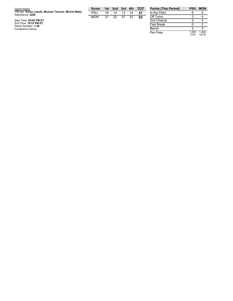| Game Notes:                                                                | <b>Score</b> |    | 1st 2nd | 3rd | 4th | <b>TOT</b> | <b>Points</b> |
|----------------------------------------------------------------------------|--------------|----|---------|-----|-----|------------|---------------|
| Officials: Karen Lasuik, Michael Thorner, Michal Watts<br>Attendance: 2288 | PSU          | 16 | 14      | 13  | 14  | 57         | In the $P$    |
|                                                                            | <b>MON</b>   | 21 | 22      | -27 | 23  | 93         | Off Turn      |
| Start Time: 09:02 PM ET                                                    |              |    |         |     |     |            | 2nd Cha       |
| End Time: 10:51 PM ET                                                      |              |    |         |     |     |            | Fast Bre      |
| Game Duration: 1:48                                                        |              |    |         |     |     |            |               |
| Conference Game;                                                           |              |    |         |     |     |            | Bench         |

| <b>Points (This Period)</b> | PSU           | <b>MON</b>     |
|-----------------------------|---------------|----------------|
| In the Paint                | 6             |                |
| Off Turns                   | З             |                |
| 2nd Chance                  | 2             |                |
| <b>Fast Break</b>           | n             | 2              |
| Bench                       | 2             | з              |
| Per Poss                    | 1.000<br>7/16 | 1.400<br>10/15 |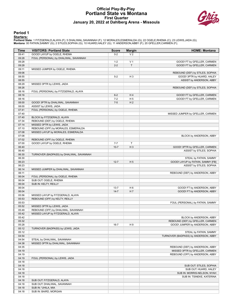#### **Official Play-By-Play Portland State vs Montana First Quarter January 20, 2022 at Dahlberg Arena - Missoula**



#### **Period 1**

<mark>Starters:</mark><br>Portland State: 1 FITZGERALD,ALAYA (F); 5 DHALIWAL,SAVANNAH (F); 12 MORALES,ESMERALDA (G); 22 OGELE,RHEMA (C); 23 LEWIS,JADA (G);<br>**Montana**: 00 FATKIN,SAMMY (G); 2 STILES,SOPHIA (G); 10 HUARD,HALEY (G); 11 AND

| Time           | <b>VISITORS: Portland State</b>                                     | <b>Score</b> | <b>Margin</b>  | <b>HOME: Montana</b>                 |
|----------------|---------------------------------------------------------------------|--------------|----------------|--------------------------------------|
| 09:41          | GOOD! LAYUP by OGELE, RHEMA                                         | $0 - 2$      | V <sub>2</sub> |                                      |
| 09:28          | FOUL (PERSONAL) by DHALIWAL, SAVANNAH                               |              |                |                                      |
| 09:28          |                                                                     | $1 - 2$      | V <sub>1</sub> | GOOD! FT by GFELLER, CARMEN          |
| 09:28          |                                                                     | $2 - 2$      | $\mathsf{T}$   | GOOD! FT by GFELLER, CARMEN          |
| 09:11          | MISSED JUMPER by OGELE, RHEMA                                       |              |                |                                      |
| 09:06          |                                                                     |              |                | REBOUND (DEF) by STILES, SOPHIA      |
| 08:55          |                                                                     | $5-2$        | H <sub>3</sub> | GOOD! 3PTR by HUARD, HALEY           |
| 08:55          |                                                                     |              |                | ASSIST by ANDERSON, ABBY             |
| 08:29          | MISSED 3PTR by LEWIS, JADA                                          |              |                |                                      |
| 08:26          |                                                                     |              |                | REBOUND (DEF) by STILES, SOPHIA      |
| 08:16          | FOUL (PERSONAL) by FITZGERALD, ALAYA                                |              |                |                                      |
| 08:16          |                                                                     | $6 - 2$      | H4             | GOOD! FT by GFELLER, CARMEN          |
| 08:16          |                                                                     | $7 - 2$      | H <sub>5</sub> | GOOD! FT by GFELLER, CARMEN          |
| 08:00          | GOOD! 3PTR by DHALIWAL, SAVANNAH                                    | $7-5$        | H <sub>2</sub> |                                      |
| 08:00<br>07:41 | ASSIST by LEWIS, JADA<br>FOUL (PERSONAL) by OGELE, RHEMA            |              |                |                                      |
| 07:40          |                                                                     |              |                | MISSED JUMPER by GFELLER, CARMEN     |
| 07:40          | BLOCK by FITZGERALD, ALAYA                                          |              |                |                                      |
| 07:34          | REBOUND (DEF) by OGELE, RHEMA                                       |              |                |                                      |
| 07:14          | MISSED 3PTR by LEWIS, JADA                                          |              |                |                                      |
| 07:10          | REBOUND (OFF) by MORALES, ESMERALDA                                 |              |                |                                      |
| 07:08          | MISSED LAYUP by MORALES, ESMERALDA                                  |              |                |                                      |
| 07:08          |                                                                     |              |                | BLOCK by ANDERSON, ABBY              |
| 07:02          | REBOUND (OFF) by OGELE, RHEMA                                       |              |                |                                      |
| 07:00          | GOOD! LAYUP by OGELE, RHEMA                                         | $7 - 7$      | $\mathsf T$    |                                      |
| 06:40          |                                                                     | $10-7$       | $H_3$          | GOOD! 3PTR by GFELLER, CARMEN        |
| 06:40          |                                                                     |              |                | ASSIST by STILES, SOPHIA             |
| 06:30          | TURNOVER (BADPASS) by DHALIWAL, SAVANNAH                            |              |                |                                      |
| 06:30          |                                                                     |              |                | STEAL by FATKIN, SAMMY               |
| 06:23          |                                                                     | $12 - 7$     | H <sub>5</sub> | GOOD! LAYUP by FATKIN, SAMMY [FB]    |
| 06:23          |                                                                     |              |                | ASSIST by STILES, SOPHIA             |
| 06:14          | MISSED JUMPER by DHALIWAL, SAVANNAH                                 |              |                |                                      |
| 06:11          |                                                                     |              |                | REBOUND (DEF) by ANDERSON, ABBY      |
| 06:04          | FOUL (PERSONAL) by OGELE, RHEMA                                     |              |                |                                      |
| 06:04          | SUB OUT: OGELE, RHEMA                                               |              |                |                                      |
| 06:04          | SUB IN: KELTY, REILLY                                               |              |                |                                      |
| 06:04          |                                                                     | $13 - 7$     | H <sub>6</sub> | GOOD! FT by ANDERSON, ABBY           |
| 06:04          |                                                                     | $14 - 7$     | H 7            | GOOD! FT by ANDERSON, ABBY           |
| 05:56<br>05:53 | MISSED LAYUP by FITZGERALD, ALAYA<br>REBOUND (OFF) by KELTY, REILLY |              |                |                                      |
| 05:53          |                                                                     |              |                | FOUL (PERSONAL) by FATKIN, SAMMY     |
| 05:52          | MISSED 3PTR by LEWIS, JADA                                          |              |                |                                      |
| 05:49          | REBOUND (OFF) by DHALIWAL, SAVANNAH                                 |              |                |                                      |
| 05:42          | MISSED LAYUP by FITZGERALD, ALAYA                                   |              |                |                                      |
| 05:42          |                                                                     |              |                | BLOCK by ANDERSON, ABBY              |
| 05:32          |                                                                     |              |                | REBOUND (DEF) by GFELLER, CARMEN     |
| 05:28          |                                                                     | $16 - 7$     | H9             | GOOD! JUMPER by ANDERSON, ABBY       |
| 05:12          | TURNOVER (BADPASS) by LEWIS, JADA                                   |              |                |                                      |
| 05:12          |                                                                     |              |                | STEAL by FATKIN, SAMMY               |
| 04:54          |                                                                     |              |                | TURNOVER (BADPASS) by ANDERSON, ABBY |
| 04:54          | STEAL by DHALIWAL, SAVANNAH                                         |              |                |                                      |
| 04:38          | MISSED 3PTR by DHALIWAL, SAVANNAH                                   |              |                |                                      |
| 04:35          |                                                                     |              |                | REBOUND (DEF) by ANDERSON, ABBY      |
| 04:19          |                                                                     |              |                | MISSED 3PTR by GFELLER, CARMEN       |
| 04:19          |                                                                     |              |                | REBOUND (OFF) by ANDERSON, ABBY      |
| 04:19          | FOUL (PERSONAL) by LEWIS, JADA                                      |              |                |                                      |
| 04:18          |                                                                     |              |                |                                      |
| 04:18          |                                                                     |              |                | SUB OUT: STILES, SOPHIA              |
| 04:18          |                                                                     |              |                | SUB OUT: HUARD, HALEY                |
| 04:18          |                                                                     |              |                | SUB IN: MORRIS-NELSON, NYAH          |
| 04:18          |                                                                     |              |                | SUB IN: TSINEKE, KATERINA            |
| 04:18          | SUB OUT: FITZGERALD, ALAYA                                          |              |                |                                      |
| 04:18          | SUB OUT: DHALIWAL, SAVANNAH                                         |              |                |                                      |
| 04:18          | SUB IN: 'UHILA, MIA                                                 |              |                |                                      |
| 04:18          | SUB IN: BAIRD, MORGAN                                               |              |                |                                      |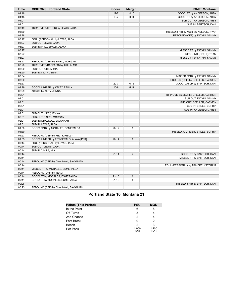| Time  | <b>VISITORS: Portland State</b>         | <b>Score</b> | <b>Margin</b>  | <b>HOME: Montana</b>                 |
|-------|-----------------------------------------|--------------|----------------|--------------------------------------|
| 04:18 |                                         | $17 - 7$     | H 10           | GOOD! FT by ANDERSON, ABBY           |
| 04:18 |                                         | $18 - 7$     | H 11           | GOOD! FT by ANDERSON, ABBY           |
| 04:01 |                                         |              |                | SUB OUT: ANDERSON, ABBY              |
| 04:01 |                                         |              |                | SUB IN: BARTSCH, DANI                |
| 03:49 | TURNOVER (OTHER) by LEWIS, JADA         |              |                |                                      |
| 03:30 |                                         |              |                | MISSED 3PTR by MORRIS-NELSON, NYAH   |
| 03:28 |                                         |              |                | REBOUND (OFF) by FATKIN, SAMMY       |
| 03:27 | FOUL (PERSONAL) by LEWIS, JADA          |              |                |                                      |
| 03:27 | SUB OUT: LEWIS, JADA                    |              |                |                                      |
| 03:27 | SUB IN: FITZGERALD, ALAYA               |              |                |                                      |
| 03:27 |                                         |              |                | MISSED FT by FATKIN, SAMMY           |
| 03:27 |                                         |              |                | REBOUND (OFF) by TEAM                |
| 03:27 |                                         |              |                | MISSED FT by FATKIN, SAMMY           |
| 03:27 | REBOUND (DEF) by BAIRD, MORGAN          |              |                |                                      |
| 03:20 | TURNOVER (BADPASS) by 'UHILA, MIA       |              |                |                                      |
| 03:20 | SUB OUT: 'UHILA, MIA                    |              |                |                                      |
| 03:20 | SUB IN: KILTY, JENNA                    |              |                |                                      |
| 03:04 |                                         |              |                | MISSED 3PTR by FATKIN, SAMMY         |
| 03:00 |                                         |              |                | REBOUND (OFF) by GFELLER, CARMEN     |
| 02:57 |                                         | $20 - 7$     | H 13           | GOOD! LAYUP by BARTSCH, DANI         |
| 02:29 | GOOD! JUMPER by KELTY, REILLY           | $20-9$       | H 11           |                                      |
| 02:29 | ASSIST by KILTY, JENNA                  |              |                |                                      |
| 02:01 |                                         |              |                | TURNOVER (3SEC) by GFELLER, CARMEN   |
| 02:01 |                                         |              |                | SUB OUT: FATKIN, SAMMY               |
| 02:01 |                                         |              |                | SUB OUT: GFELLER, CARMEN             |
| 02:01 |                                         |              |                | SUB IN: STILES, SOPHIA               |
| 02:01 |                                         |              |                | SUB IN: ANDERSON, ABBY               |
| 02:01 | SUB OUT: KILTY, JENNA                   |              |                |                                      |
| 02:01 | SUB OUT: BAIRD, MORGAN                  |              |                |                                      |
| 02:01 | SUB IN: DHALIWAL, SAVANNAH              |              |                |                                      |
| 02:01 | SUB IN: LEWIS, JADA                     |              |                |                                      |
| 01:50 | GOOD! 3PTR by MORALES, ESMERALDA        | $20 - 12$    | H 8            |                                      |
| 01:30 |                                         |              |                | MISSED JUMPER by STILES, SOPHIA      |
| 01:27 | REBOUND (DEF) by KELTY, REILLY          |              |                |                                      |
| 01:05 | GOOD! JUMPER by FITZGERALD, ALAYA [PNT] | $20 - 14$    | H <sub>6</sub> |                                      |
| 00:44 | FOUL (PERSONAL) by LEWIS, JADA          |              |                |                                      |
| 00:44 | SUB OUT: LEWIS, JADA                    |              |                |                                      |
| 00:44 | SUB IN: 'UHILA, MIA                     |              |                |                                      |
| 00:44 |                                         | $21 - 14$    | H 7            | GOOD! FT by BARTSCH, DANI            |
| 00:44 |                                         |              |                | MISSED FT by BARTSCH, DANI           |
| 00:44 | REBOUND (DEF) by DHALIWAL, SAVANNAH     |              |                |                                      |
| 00:44 |                                         |              |                | FOUL (PERSONAL) by TSINEKE, KATERINA |
| 00:44 | MISSED FT by MORALES, ESMERALDA         |              |                |                                      |
| 00:44 | REBOUND (OFF) by TEAM                   |              |                |                                      |
| 00:44 | GOOD! FT by MORALES, ESMERALDA          | $21 - 15$    | H <sub>6</sub> |                                      |
| 00:44 | GOOD! FT by MORALES, ESMERALDA          | $21 - 16$    | H <sub>5</sub> |                                      |
| 00:26 |                                         |              |                | MISSED 3PTR by BARTSCH, DANI         |
| 00:23 | REBOUND (DEF) by DHALIWAL, SAVANNAH     |              |                |                                      |

## **Portland State 16, Montana 21**

| <b>Points (This Period)</b> | <b>PSU</b>    | <b>MON</b>     |
|-----------------------------|---------------|----------------|
| In the Paint                | 6             |                |
| Off Turns                   |               |                |
| 2nd Chance                  |               |                |
| Fast Break                  |               |                |
| Bench                       |               |                |
| Per Poss                    | 1.000<br>7/16 | 1.400<br>10/15 |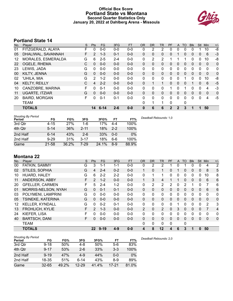#### **Official Box Score Portland State vs Montana Second Quarter Statistics Only January 20, 2022 at Dahlberg Arena - Missoula**



## **Portland State 14**

| No. | Plaver                | S  | <b>Pts</b>     | <b>FG</b> | 3FG     | <b>FT</b> | <b>OR</b> | <b>DR</b>    | TR | PF             | A            | TO       | <b>BIK</b> | <b>Stl</b>   | Min          | $+/-$       |
|-----|-----------------------|----|----------------|-----------|---------|-----------|-----------|--------------|----|----------------|--------------|----------|------------|--------------|--------------|-------------|
| 01  | FITZGERALD, ALAYA     | F  | 0              | $0 - 0$   | $0-0$   | $0 - 0$   | 0         | 2            | 2  | 0              | 0            | 0        | 0          |              | 10           | -8          |
| 05  | DHALIWAL, SAVANNAH    | F. | $\overline{2}$ | $1 - 3$   | $0 - 1$ | $0 - 0$   | 0         | $\mathbf{0}$ | 0  | 0              |              | 0        | 0          | $\mathbf{0}$ | 6            | $-3$        |
| 12  | MORALES, ESMERALDA    | G  | 6              | $2 - 5$   | $2 - 4$ | $0 - 0$   | 0         | 2            | 2  |                |              |          | 0          | 0            | 10           | -8          |
| 22  | OGELE, RHEMA          | C  | 0              | $0 - 0$   | $0 - 0$ | $0 - 0$   | $\Omega$  | $\Omega$     | 0  | 0              | $\Omega$     | 0        | 0          | $\Omega$     | $\mathbf{0}$ | 0           |
| 23  | LEWIS, JADA           | G  | $\Omega$       | $0 - 0$   | $0 - 0$ | $0 - 0$   | $\Omega$  | 0            | 0  | 0              | $\Omega$     | 0        | 0          | $\Omega$     | $\Omega$     | 0           |
| 00  | KILTY, JENNA          | G  | $\Omega$       | $0 - 0$   | $0 - 0$ | $0 - 0$   | 0         | $\mathbf{0}$ | 0  | 0              | $\mathbf{0}$ | 0        | 0          | $\mathbf{0}$ | $\Omega$     | $\mathbf 0$ |
| 02  | 'UHILA, MIA           | G  | 2              | $1 - 2$   | $0 - 0$ | $0 - 0$   | 0         | 0            | 0  | 0              | $\Omega$     |          | 0          | 0            | 10           | -8          |
| 04  | <b>KELTY, REILLY</b>  | C  | 4              | $2 - 2$   | $0 - 0$ | $0 - 0$   | 0         |              | 1  | $\Omega$       | $\Omega$     | $\Omega$ | 1          | $\Omega$     | 6            | $-5$        |
| 10  | CANZOBRE, MARINA      | F  | 0              | $0 - 1$   | $0 - 0$ | $0 - 0$   | 0         | 0            | 0  |                | 0            |          | 0          | $\Omega$     | 4            | $-3$        |
| 11  | <b>UGARTE, ITZIAR</b> | G  | 0              | $0 - 0$   | $0 - 0$ | $0 - 0$   | $\Omega$  | $\Omega$     | 0  | 0              | $\Omega$     | $\Omega$ | 0          | $\Omega$     | $\Omega$     | 0           |
| 20  | <b>BAIRD, MORGAN</b>  | F  | 0              | $0 - 1$   | $0 - 1$ | $0 - 0$   | $\Omega$  | $\Omega$     | 0  | 0              | $\Omega$     | 0        | 0          | $\Omega$     | 4            | $-5$        |
|     | TEAM                  |    |                |           |         |           | $\Omega$  |              | 1  | 0              |              | 0        |            |              |              |             |
|     | <b>TOTALS</b>         |    | 14             | $6 - 14$  | $2 - 6$ | $0 - 0$   | 0         | 6            | 6  | $\overline{2}$ | $\mathbf{2}$ | 3        |            |              | 50           |             |

| <b>Shooting By Period</b><br>Period | FG       | FG%   | 3FG      | 3FG%  | FT      | FT%   | Deadball Rebounds: 1,0 |
|-------------------------------------|----------|-------|----------|-------|---------|-------|------------------------|
| 3rd Qtr                             | $4 - 15$ | 27%   | 1-6      | 17%   | 4-4     | 100%  |                        |
| 4th Qtr                             | $5 - 14$ | 36%   | $2 - 11$ | 18%   | $2 - 2$ | 100%  |                        |
| 2nd Half                            | $6 - 14$ | 43%   | $2-6$    | 33%   | $0 - 0$ | 0%    |                        |
| 2nd Half                            | $9 - 29$ | 31%   | $3 - 17$ | 18%   | $6 - 6$ | 100%  |                        |
| Game                                | 21-58    | 36.2% | 7-29     | 24.1% | $8-9$   | 88.9% |                        |

## **Montana 22**

| No. | Player                 | S | <b>Pts</b>     | FG.      | 3FG     | <b>FT</b> | <b>OR</b>      | <b>DR</b> | TR             | PF | A        | TO       | <b>Blk</b> | <b>Stl</b> | Min          | $+/-$       |
|-----|------------------------|---|----------------|----------|---------|-----------|----------------|-----------|----------------|----|----------|----------|------------|------------|--------------|-------------|
| 00  | FATKIN, SAMMY          | G | 3              | 1-1      | $1 - 1$ | $0-0$     | 0              | 2         | 2              |    | 0        |          | 0          | 0          | 4            | 2           |
| 02  | STILES, SOPHIA         | G | 4              | $2 - 4$  | $0 - 2$ | $0 - 0$   |                | 0         | 1              | 0  |          | 0        | 0          | 0          | 8            | 5           |
| 10  | HUARD, HALEY           | G | 6              | $2 - 2$  | $2 - 2$ | $0 - 0$   | 0              |           | 1              | 0  | 0        | 0        | 0          | 0          | 10           | 8           |
| 11  | ANDERSON, ABBY         | F | 2              | $1 - 2$  | $0 - 0$ | $0 - 0$   |                | 3         | 4              |    |          | 0        | 0          | 0          | 6            | 6           |
| 20  | <b>GFELLER, CARMEN</b> | F | 5              | $2 - 4$  | $1 - 2$ | $0-0$     | 0              | 2         | 2              | 2  | 0        | 2        |            | 0          | 7            | 6           |
| 01  | MORRIS-NELSON, NYAH    | G | $\Omega$       | $0 - 1$  | $0 - 1$ | $0 - 0$   | 0              | 0         | 0              | 0  | 0        | 0        | 0          | 0          | 6            | 6           |
| 03  | POLYMENI, LAMPRINI     | G | 0              | $0 - 0$  | $0 - 0$ | $0-0$     | $\Omega$       | 0         | 0              | 0  | 0        | $\Omega$ | 0          | 0          | $\mathbf 0$  | 0           |
| 05  | TSINEKE, KATERINA      | G | $\Omega$       | $0 - 0$  | $0 - 0$ | $0 - 0$   | 0              | 0         | 0              | 0  | 0        | 0        | $\Omega$   | 0          | $\mathbf{0}$ | 0           |
| 12  | <b>KELLER, KYNDALL</b> | G | 0              | $0 - 2$  | $0 - 1$ | $0-0$     | 0              | 0         | 0              | 0  |          | 0        | 0          | 0          | 2            | 3           |
| 13  | <b>FROHLICH, KYLIE</b> | F | $\overline{2}$ | $1 - 3$  | $0 - 0$ | $0 - 0$   | $\overline{2}$ | 0         | $\overline{2}$ | 0  | 3        | 0        | $\Omega$   | 0          | 7            | 4           |
| 24  | KIEFER, LISA           | F | 0              | $0 - 0$  | $0 - 0$ | $0-0$     | 0              | 0         | 0              | 0  | 0        | 0        | 0          | 0          | 0            | 0           |
| 40  | <b>BARTSCH, DANI</b>   | F | 0              | $0 - 0$  | $0 - 0$ | $0 - 0$   | 0              | 0         | 0              | 0  | $\Omega$ | 0        | $\Omega$   | 0          | $\mathbf{0}$ | $\mathbf 0$ |
|     | <b>TEAM</b>            |   |                |          |         |           | 0              | 0         | 0              | 0  |          | 0        |            |            |              |             |
|     | <b>TOTALS</b>          |   | $22 \,$        | $9 - 19$ | $4 - 9$ | $0 - 0$   | 4              | 8         | 12             | 4  | 6        | 3        |            | 0          | 50           |             |

| <b>Shooting By Period</b> |           |       |           |       |         |       |
|---------------------------|-----------|-------|-----------|-------|---------|-------|
| Period                    | FG        | FG%   | 3FG       | 3FG%  | FT      | FT%   |
| 3rd Qtr                   | $9 - 18$  | 50%   | 4-8       | 50%   | $5-6$   | 83%   |
| 4th Qtr                   | $9 - 17$  | 53%   | $2 - 6$   | 33%   | $3 - 3$ | 100%  |
| 2nd Half                  | $9 - 19$  | 47%   | $4-9$     | 44%   | $0 - 0$ | $0\%$ |
| 2nd Half                  | 18-35     | 51%   | $6 - 14$  | 43%   | 8-9     | 89%   |
| Game                      | $32 - 65$ | 49.2% | $12 - 29$ | 41.4% | 17-21   | 81.0% |

*Deadball Rebounds:* 2,0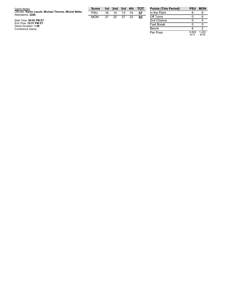| Game Notes:                                                                | <b>Score</b> |    | 1st 2nd 3rd |    | 4th | тот | Points (        |
|----------------------------------------------------------------------------|--------------|----|-------------|----|-----|-----|-----------------|
| Officials: Karen Lasuik, Michael Thorner, Michal Watts<br>Attendance: 2288 | PSU          | 16 | 14          | 13 | 14  | 57  | In the $Pi$     |
|                                                                            | <b>MON</b>   | 21 | 22          | 27 | 23  | 93  | Off Turn        |
| Start Time: 09:02 PM ET                                                    |              |    |             |    |     |     | 2nd Cha         |
| End Time: 10:51 PM ET<br>Game Duration: 1:48                               |              |    |             |    |     |     | <b>Fast Bre</b> |
| Conference Game;                                                           |              |    |             |    |     |     | Bench           |

| <b>Points (This Period)</b> | PSU           | <b>MON</b>    |
|-----------------------------|---------------|---------------|
| In the Paint                | հ             | հ             |
| Off Turns                   |               | 6             |
| 2nd Chance                  |               |               |
| <b>Fast Break</b>           |               | ი             |
| Bench                       | ี             | 2             |
| Per Poss                    | 0.824<br>6/17 | 1.222<br>9/18 |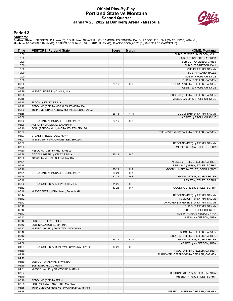#### **Official Play-By-Play Portland State vs Montana Second Quarter January 20, 2022 at Dahlberg Arena - Missoula**



#### **Period 2**

#### **Starters:**

**Portland State**: 1 FITZGERALD,ALAYA (F); 5 DHALIWAL,SAVANNAH (F); 12 MORALES,ESMERALDA (G); 22 OGELE,RHEMA (C); 23 LEWIS,JADA (G);<br>**Montana**: 00 FATKIN,SAMMY (G); 2 STILES,SOPHIA (G); 10 HUARD,HALEY (G); 11 ANDERSON,ABBY

| Time           | <b>VISITORS: Portland State</b>                                 | <b>Score</b> | <b>Margin</b>  | <b>HOME: Montana</b>                                          |
|----------------|-----------------------------------------------------------------|--------------|----------------|---------------------------------------------------------------|
| 10:00          |                                                                 |              |                | SUB OUT: MORRIS-NELSON, NYAH                                  |
| 10:00          |                                                                 |              |                | SUB OUT: TSINEKE, KATERINA                                    |
| 10:00          |                                                                 |              |                | SUB OUT: ANDERSON, ABBY                                       |
| 10:00          |                                                                 |              |                | SUB OUT: BARTSCH, DANI                                        |
| 10:00          |                                                                 |              |                | SUB IN: FATKIN, SAMMY                                         |
| 10:00<br>10:00 |                                                                 |              |                | SUB IN: HUARD, HALEY                                          |
| 10:00          |                                                                 |              |                | SUB IN: FROHLICH, KYLIE<br>SUB IN: GFELLER, CARMEN            |
| 09:56          |                                                                 | 23-16        | H 7            | GOOD! LAYUP by GFELLER, CARMEN                                |
| 09:56          |                                                                 |              |                | ASSIST by FROHLICH, KYLIE                                     |
| 09:29          | MISSED JUMPER by 'UHILA, MIA                                    |              |                |                                                               |
| 09:26          |                                                                 |              |                | REBOUND (DEF) by GFELLER, CARMEN                              |
| 09:15          |                                                                 |              |                | MISSED LAYUP by FROHLICH, KYLIE                               |
| 09:15          | BLOCK by KELTY, REILLY                                          |              |                |                                                               |
| 09:10          | REBOUND (DEF) by MORALES, ESMERALDA                             |              |                |                                                               |
| 09:09          | TURNOVER (BADPASS) by MORALES, ESMERALDA                        |              |                |                                                               |
| 08:58          |                                                                 | $26-16$      | H 10           | GOOD! 3PTR by FATKIN, SAMMY                                   |
| 08:58          |                                                                 |              |                | ASSIST by FROHLICH, KYLIE                                     |
| 08:26          | GOOD! 3PTR by MORALES, ESMERALDA                                | $26-19$      | H <sub>7</sub> |                                                               |
| 08:26          | ASSIST by DHALIWAL, SAVANNAH                                    |              |                |                                                               |
| 08:10          | FOUL (PERSONAL) by MORALES, ESMERALDA                           |              |                |                                                               |
| 08:07<br>08:07 |                                                                 |              |                | TURNOVER (LOSTBALL) by GFELLER, CARMEN                        |
| 08:01          | STEAL by FITZGERALD, ALAYA<br>MISSED 3PTR by MORALES, ESMERALDA |              |                |                                                               |
| 07:57          |                                                                 |              |                | REBOUND (DEF) by FATKIN, SAMMY                                |
| 07:53          |                                                                 |              |                | MISSED 3PTR by STILES, SOPHIA                                 |
| 07:50          | REBOUND (DEF) by KELTY, REILLY                                  |              |                |                                                               |
| 07:36          | GOOD! JUMPER by KELTY, REILLY                                   | $26 - 21$    | H <sub>5</sub> |                                                               |
| 07:36          | ASSIST by MORALES, ESMERALDA                                    |              |                |                                                               |
| 07:21          |                                                                 |              |                | MISSED 3PTR by GFELLER, CARMEN                                |
| 07:18          |                                                                 |              |                | REBOUND (OFF) by STILES, SOPHIA                               |
| 07:16          |                                                                 | $28 - 21$    | H 7            | GOOD! JUMPER by STILES, SOPHIA [PNT]                          |
| 07:01          | GOOD! 3PTR by MORALES, ESMERALDA                                | 28-24        | H4             |                                                               |
| 06:48          |                                                                 | $31 - 24$    | H 7            | GOOD! 3PTR by HUARD, HALEY                                    |
| 06:48          |                                                                 |              |                | ASSIST by STILES, SOPHIA                                      |
| 06:26          | GOOD! JUMPER by KELTY, REILLY [PNT]                             | $31 - 26$    | H <sub>5</sub> |                                                               |
| 06:12          |                                                                 | 33-26        | H 7            | GOOD! JUMPER by STILES, SOPHIA                                |
| 05:48<br>05:44 | MISSED 3PTR by DHALIWAL, SAVANNAH                               |              |                |                                                               |
| 05:42          |                                                                 |              |                | REBOUND (DEF) by FATKIN, SAMMY<br>FOUL (OFF) by FATKIN, SAMMY |
| 05:42          |                                                                 |              |                | TURNOVER (OFFENSIVE) by FATKIN, SAMMY                         |
| 05:42          |                                                                 |              |                | SUB OUT: FATKIN, SAMMY                                        |
| 05:42          |                                                                 |              |                | SUB OUT: FROHLICH, KYLIE                                      |
| 05:42          |                                                                 |              |                | SUB IN: MORRIS-NELSON, NYAH                                   |
| 05:42          |                                                                 |              |                | SUB IN: ANDERSON, ABBY                                        |
| 05:42          | SUB OUT: KELTY, REILLY                                          |              |                |                                                               |
| 05:42          | SUB IN: CANZOBRE, MARINA                                        |              |                |                                                               |
| 05:12          | MISSED LAYUP by DHALIWAL, SAVANNAH                              |              |                |                                                               |
| 05:12          |                                                                 |              |                | BLOCK by GFELLER, CARMEN                                      |
| 05:12          |                                                                 |              |                | REBOUND (DEF) by GFELLER, CARMEN                              |
| 04:58          |                                                                 | 36-26        | H 10           | GOOD! 3PTR by HUARD, HALEY                                    |
| 04:58          |                                                                 |              |                | ASSIST by ANDERSON, ABBY                                      |
| 04:34          | GOOD! JUMPER by DHALIWAL, SAVANNAH [PNT]                        | 36-28        | H <sub>8</sub> |                                                               |
| 04:19          |                                                                 |              |                | FOUL (OFF) by GFELLER, CARMEN                                 |
| 04:19<br>04:19 |                                                                 |              |                | TURNOVER (OFFENSIVE) by GFELLER, CARMEN                       |
| 04:19          | SUB OUT: DHALIWAL, SAVANNAH                                     |              |                |                                                               |
| 04:19          | SUB IN: BAIRD, MORGAN                                           |              |                |                                                               |
| 04:01          | MISSED LAYUP by CANZOBRE, MARINA                                |              |                |                                                               |
| 03:57          |                                                                 |              |                | REBOUND (DEF) by ANDERSON, ABBY                               |
| 03:49          |                                                                 |              |                | MISSED 3PTR by STILES, SOPHIA                                 |
| 03:46          | REBOUND (DEF) by TEAM                                           |              |                |                                                               |
| 03:35          | FOUL (OFF) by CANZOBRE, MARINA                                  |              |                |                                                               |
| 03:35          | TURNOVER (OFFENSIVE) by CANZOBRE, MARINA                        |              |                |                                                               |
| 03:16          |                                                                 |              |                | MISSED JUMPER by GFELLER, CARMEN                              |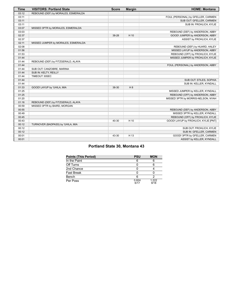| <b>Time</b> | <b>VISITORS: Portland State</b>     | <b>Score</b> | <b>Margin</b> | <b>HOME: Montana</b>                 |
|-------------|-------------------------------------|--------------|---------------|--------------------------------------|
| 03:12       | REBOUND (DEF) by MORALES, ESMERALDA |              |               |                                      |
| 03:11       |                                     |              |               | FOUL (PERSONAL) by GFELLER, CARMEN   |
| 03:11       |                                     |              |               | SUB OUT: GFELLER, CARMEN             |
| 03:11       |                                     |              |               | SUB IN: FROHLICH, KYLIE              |
| 03:07       | MISSED 3PTR by MORALES, ESMERALDA   |              |               |                                      |
| 03:03       |                                     |              |               | REBOUND (DEF) by ANDERSON, ABBY      |
| 02:37       |                                     | 38-28        | H 10          | GOOD! JUMPER by ANDERSON, ABBY       |
| 02:37       |                                     |              |               | ASSIST by FROHLICH, KYLIE            |
| 02:11       | MISSED JUMPER by MORALES, ESMERALDA |              |               |                                      |
| 02:08       |                                     |              |               | REBOUND (DEF) by HUARD, HALEY        |
| 01:56       |                                     |              |               | MISSED LAYUP by ANDERSON, ABBY       |
| 01:53       |                                     |              |               | REBOUND (OFF) by FROHLICH, KYLIE     |
| 01:44       |                                     |              |               | MISSED JUMPER by FROHLICH, KYLIE     |
| 01:44       | REBOUND (DEF) by FITZGERALD, ALAYA  |              |               |                                      |
| 01:44       |                                     |              |               | FOUL (PERSONAL) by ANDERSON, ABBY    |
| 01:44       | SUB OUT: CANZOBRE, MARINA           |              |               |                                      |
| 01:44       | SUB IN: KELTY, REILLY               |              |               |                                      |
| 01:44       | TIMEOUT 30SEC                       |              |               |                                      |
| 01:44       |                                     |              |               | SUB OUT: STILES, SOPHIA              |
| 01:44       |                                     |              |               | SUB IN: KELLER, KYNDALL              |
| 01:33       | GOOD! LAYUP by 'UHILA, MIA          | 38-30        | H 8           |                                      |
| 01:25       |                                     |              |               | MISSED JUMPER by KELLER, KYNDALL     |
| 01:25       |                                     |              |               | REBOUND (OFF) by ANDERSON, ABBY      |
| 01:20       |                                     |              |               | MISSED 3PTR by MORRIS-NELSON, NYAH   |
| 01:16       | REBOUND (DEF) by FITZGERALD, ALAYA  |              |               |                                      |
| 00:59       | MISSED 3PTR by BAIRD, MORGAN        |              |               |                                      |
| 00:55       |                                     |              |               | REBOUND (DEF) by ANDERSON, ABBY      |
| 00:49       |                                     |              |               | MISSED 3PTR by KELLER, KYNDALL       |
| 00:45       |                                     |              |               | REBOUND (OFF) by FROHLICH, KYLIE     |
| 00:43       |                                     | 40-30        | H 10          | GOOD! LAYUP by FROHLICH, KYLIE [PNT] |
| 00:12       | TURNOVER (BADPASS) by 'UHILA, MIA   |              |               |                                      |
| 00:12       |                                     |              |               | SUB OUT: FROHLICH, KYLIE             |
| 00:12       |                                     |              |               | SUB IN: GFELLER, CARMEN              |
| 00:01       |                                     | 43-30        | H 13          | GOOD! 3PTR by GFELLER, CARMEN        |
| 00:01       |                                     |              |               | ASSIST by KELLER, KYNDALL            |

## **Portland State 30, Montana 43**

| <b>Points (This Period)</b> | <b>PSU</b>    | <b>MON</b>    |
|-----------------------------|---------------|---------------|
| In the Paint                |               |               |
| Off Turns                   |               |               |
| 2nd Chance                  |               |               |
| <b>Fast Break</b>           |               |               |
| Bench                       |               |               |
| Per Poss                    | 0.824<br>6/17 | 1.222<br>9/18 |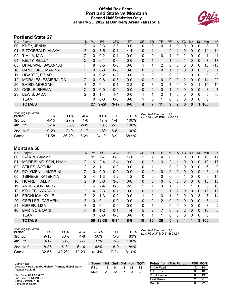#### **Official Box Score Portland State vs Montana Second Half Statistics Only January 20, 2022 at Dahlberg Arena - Missoula**



## **Portland State 27**

| No. | Plaver                | S  | <b>Pts</b>   | <b>FG</b> | 3FG      | <b>FT</b> | <b>OR</b> | <b>DR</b> | TR             | PF             | $\mathsf{A}$ | TO       | <b>Blk</b> | Stl          | <b>Min</b> | $+/-$ |
|-----|-----------------------|----|--------------|-----------|----------|-----------|-----------|-----------|----------------|----------------|--------------|----------|------------|--------------|------------|-------|
| 00  | KILTY, JENNA          | G  | 6            | $2 - 3$   | $2 - 3$  | $0-0$     | 0         | 0         | 0              |                | 0            | 0        | $\Omega$   | 0            | 8          | $-7$  |
| 01  | FITZGERALD, ALAYA     | F. | 10           | $3 - 5$   | $0 - 1$  | $4 - 4$   | 0         | 1         | 1              | $\overline{2}$ |              | 0        | $\Omega$   | 0            | 14         | $-14$ |
| 02  | 'UHILA, MIA           | G  | 0            | $0 - 2$   | $0 - 1$  | $0 - 0$   | 0         | 0         | 0              |                | 0            | 2        | $\Omega$   | 0            | 11         | $-11$ |
| 04  | <b>KELTY, REILLY</b>  | C  | $\Omega$     | $0 - 1$   | $0 - 0$  | $0 - 0$   | 0         | 1         |                | 1              | 0            |          | $\Omega$   | 0            | 7          | $-17$ |
| 05  | DHALIWAL, SAVANNAH    | F. | 6            | $3 - 5$   | $0 - 0$  | $0 - 0$   | 1         | 1         | $\overline{2}$ | 0              | 0            | 0        | $\Omega$   | 0            | 10         | -13   |
| 10  | CANZOBRE, MARINA      | F. | $\mathbf{0}$ | $0 - 0$   | $0 - 0$  | $0 - 0$   | 0         | 0         | 0              |                |              | 0        | $\Omega$   | 0            | 5          | 1     |
| 11  | <b>UGARTE, ITZIAR</b> | G  | 0            | $0 - 2$   | $0 - 2$  | $0 - 0$   | 1         | $\Omega$  | 1              | $\Omega$       | 0            |          | 0          | 0            | 9          | -9    |
| 12  | MORALES, ESMERALDA    | G  | $\Omega$     | $0 - 6$   | $0 - 5$  | $0 - 0$   | 0         | 0         | 0              | 0              | 0            | 2        | $\Omega$   | $\mathbf{0}$ | 14         | $-22$ |
| 20  | <b>BAIRD, MORGAN</b>  | F  | 2            | $0 - 1$   | $0 - 1$  | $2 - 2$   | 0         | 3         | 3              |                | 0            | 0        | 0          | 1            | 10         | -10   |
| 22  | OGELE, RHEMA          | С  | $\Omega$     | $0 - 0$   | $0 - 0$  | $0 - 0$   | 0         | $\Omega$  | 0              |                | $\Omega$     | $\Omega$ | $\Omega$   | 0            | 8          | $-7$  |
| 23  | LEWIS, JADA           | G  | 3            | $1 - 4$   | $1 - 4$  | $0 - 0$   | 1         | 1         | 2              | 1              | 0            | $\Omega$ | $\Omega$   | $\Omega$     | 5          | -6    |
|     | <b>TEAM</b>           |    | 0            | $0 - 0$   | $0 - 0$  | $0 - 0$   |           | 0         |                | 0              | 0            | $\Omega$ | $\Omega$   | 0            | 0          |       |
|     | <b>TOTALS</b>         |    | 27           | $9 - 29$  | $3 - 17$ | $6-6$     | 4         |           | 11             | 9              | $\mathbf{2}$ | 6        | 0          | 1            | 100        |       |

| <b>Shooting By Period</b><br>Period | FG       | FG%   | 3FG      | 3FG%  | FT      | FT%   |
|-------------------------------------|----------|-------|----------|-------|---------|-------|
| 3rd Qtr                             | $4 - 15$ | 27%   | 1-6      | 17%   | 4-4     | 100%  |
| 4th Qtr                             | $5 - 14$ | 36%   | $2 - 11$ | 18%   | $2 - 2$ | 100%  |
| 2nd Half                            | $9 - 29$ | 31%   | $3 - 17$ | 18%   | 6-6     | 100%  |
| Game                                | 21-58    | 36.2% | 7-29     | 24.1% | 8-9     | 88.9% |

*Deadball Rebounds:* 1,0 *Last FG Half:* PSU 4th-03:21

## **Montana 50**

| No. | Player                 | S | <b>Pts</b> | <b>FG</b> | 3FG      | <b>FT</b> | <b>OR</b> | <b>DR</b> | <b>TR</b> | PF             | A        | TO | <b>B</b> lk  | Stl      | Min | $+/-$          |
|-----|------------------------|---|------------|-----------|----------|-----------|-----------|-----------|-----------|----------------|----------|----|--------------|----------|-----|----------------|
| 00  | FATKIN, SAMMY          | G | 11         | $5 - 7$   | $0 - 0$  | 1-1       | 2         | 2         | 4         | 0              |          | 0  | 0            | 0        | 10  | 17             |
| 01  | MORRIS-NELSON, NYAH    | G | 6          | $2 - 4$   | $2 - 4$  | $0 - 0$   | $\Omega$  | 3         | 3         | $\overline{2}$ | 1        | 0  | $\Omega$     | 0        | 10  | 17             |
| 02  | STILES, SOPHIA         | G | 2          | 1-1       | $0 - 0$  | $0 - 0$   | 0         |           | 1         | 0              | 2        | 0  | 0            | 0        | 6   | 9              |
| 03  | POLYMENI, LAMPRINI     | G | 0          | $0 - 0$   | $0 - 0$  | $0 - 0$   | $\Omega$  | $\Omega$  | $\Omega$  | 0              | 0        | 0  | $\Omega$     | $\Omega$ | 5   | $-1$           |
| 05  | TSINEKE, KATERINA      | G | 4          | 1-3       | $1 - 2$  | $1 - 2$   | 0         | 0         | $\Omega$  | 0              | 0        |    | 0            | $\Omega$ | 9   | 15             |
| 10  | <b>HUARD, HALEY</b>    | G | 9          | $3-6$     | $3-6$    | $0 - 0$   | $\Omega$  | $\Omega$  | $\Omega$  | 0              | 0        | 0  | $\Omega$     | $\Omega$ | 13  | 10             |
| 11  | ANDERSON, ABBY         | F | 6          | $2 - 4$   | $0 - 0$  | $2 - 2$   | 2         |           | 3         |                | 0        | 1  |              | 0        | 8   | 10             |
| 12  | <b>KELLER, KYNDALL</b> | G | 4          | $2 - 3$   | $0 - 1$  | $0 - 0$   | 0         |           |           |                | 2        | 0  | $\mathbf{0}$ | $\Omega$ | 12  | 12             |
| 13  | <b>FROHLICH, KYLIE</b> | F | 2          | $1 - 3$   | $0 - 0$  | $0 - 0$   | 1         | 2         | 3         |                | 0        | 0  | 0            | 3        | 7   | 14             |
| 20  | <b>GFELLER, CARMEN</b> | F | 0          | $0 - 1$   | $0 - 0$  | $0 - 0$   | $\Omega$  | 2         | 2         | 0              | $\Omega$ | 0  | $\mathbf{0}$ | $\Omega$ | 8   | $\overline{4}$ |
| 24  | KIEFER, LISA           | F | 0          | $0 - 1$   | $0 - 0$  | $0 - 0$   | 0         |           | 1         | 0              | 0        | 0  | 0            | $\Omega$ | 3   | $\overline{2}$ |
| 40  | <b>BARTSCH, DANI</b>   | F | 6.         | $1 - 2$   | $0 - 1$  | $4 - 4$   | 5         | 2         |           | 0              | 2        | 2  | $\Omega$     | $\Omega$ | 10  | 6              |
|     | <b>TEAM</b>            |   | 0          | $0-0$     | $0 - 0$  | $0 - 0$   | $\Omega$  |           |           | 0              | $\Omega$ | 0  | 0            | $\Omega$ | 0   |                |
|     | <b>TOTALS</b>          |   | 50         | 18-35     | $6 - 14$ | $8-9$     | 10        | 16        | 26        | 5              | 8        | 4  |              | 3        | 100 |                |

| <b>Shooting By Period</b><br>Period | FG        | FG%   | 3FG       | 3FG%  | FT    | FT%   |
|-------------------------------------|-----------|-------|-----------|-------|-------|-------|
| 3rd Otr                             | $9 - 18$  | 50%   | 4-8       | 50%   | 5-6   | 83%   |
| 4th Otr                             | $9 - 17$  | 53%   | $2 - 6$   | 33%   | $3-3$ | 100%  |
| 2nd Half                            | $18 - 35$ | 51%   | $6-14$    | 43%   | $8-9$ | 89%   |
| Game                                | 32-65     | 49 2% | $12 - 29$ | 41.4% | 17-21 | 81.0% |

*Deadball Rebounds:* 2,0 *Last FG Half:* MON 4th-01:57

| Game Notes:                                                                | <b>Score</b> | 1st | 2nd | 3rd | 4th | <b>TOT</b> | <b>Points from (This Period)</b> | <b>PSU MON</b> |
|----------------------------------------------------------------------------|--------------|-----|-----|-----|-----|------------|----------------------------------|----------------|
| Officials: Karen Lasuik, Michael Thorner, Michal Watts<br>Attendance: 2288 | PSU          | 16  | 14  | 13  | 14  | -57        | In the Paint                     | 24             |
|                                                                            | <b>MON</b>   | 21  | າາ  | 27  | 23  | 93         | Off Turns                        |                |
| Start Time: 09:02 PM ET                                                    |              |     |     |     |     |            | 2nd Chance                       |                |
| End Time: 10:51 PM ET<br>Game Duration: 1:48                               |              |     |     |     |     |            | <b>Fast Break</b>                |                |
| Conference Game;                                                           |              |     |     |     |     |            | Bench                            | 22             |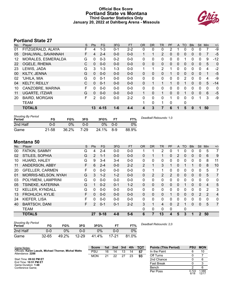#### **Official Box Score Portland State vs Montana Third Quarter Statistics Only January 20, 2022 at Dahlberg Arena - Missoula**



## **Portland State 27**

| No. | Plaver                | S | <b>Pts</b> | <b>FG</b> | 3FG     | <b>FT</b> | <b>OR</b>    | <b>DR</b>    | TR           | PF       | A        | TO       | <b>BIK</b> | <b>Stl</b>   | Min | $+/-$ |
|-----|-----------------------|---|------------|-----------|---------|-----------|--------------|--------------|--------------|----------|----------|----------|------------|--------------|-----|-------|
| 01  | FITZGERALD, ALAYA     | F | 4          | 1-3       | $0 - 1$ | $2 - 2$   | 0            | 0            | 0            | 2        |          | 0        | 0          | 0            | 7   | -9    |
| 05  | DHALIWAL, SAVANNAH    | F | 4          | $2 - 4$   | $0 - 0$ | $0 - 0$   | 1            |              | 2            | 0        | $\Omega$ | 0        | 0          | $\mathbf{0}$ | 7   | $-5$  |
| 12  | MORALES, ESMERALDA    | G | 0          | $0 - 3$   | $0 - 2$ | $0 - 0$   | 0            | $\mathbf{0}$ | 0            | 0        | 0        |          | 0          | $\mathbf 0$  | 9   | $-12$ |
| 22  | OGELE, RHEMA          | C | $\Omega$   | $0 - 0$   | $0 - 0$ | $0 - 0$   | $\Omega$     | $\Omega$     | 0            | $\Omega$ | $\Omega$ | $\Omega$ | 0          | $\mathbf{0}$ | 5   | 0     |
| 23  | LEWIS, JADA           | G | 3          | $1 - 3$   | $1 - 3$ | $0 - 0$   | 1            | 1            | 2            | 1        | $\Omega$ | 0        | 0          | $\Omega$     | 4   | $-2$  |
| 00  | KILTY, JENNA          | G | $\Omega$   | $0 - 0$   | $0 - 0$ | $0 - 0$   | $\Omega$     | 0            | 0            |          | $\Omega$ | 0        | 0          | $\mathbf{0}$ | 1   | $-5$  |
| 02  | 'UHILA, MIA           | G | 0          | $0 - 1$   | $0 - 0$ | $0 - 0$   | 0            | $\mathbf{0}$ | 0            | 0        | $\Omega$ | 2        | 0          | $\mathbf 0$  | 4   | -9    |
| 04  | <b>KELTY, REILLY</b>  | C | $\Omega$   | $0 - 1$   | $0 - 0$ | $0 - 0$   | $\Omega$     |              | 1            |          | 0        |          | 0          | $\Omega$     | 5   | $-14$ |
| 10  | CANZOBRE, MARINA      | F | $\Omega$   | $0 - 0$   | $0 - 0$ | $0 - 0$   | $\mathbf{0}$ | $\Omega$     | 0            | 0        | $\Omega$ | 0        | 0          | $\Omega$     | 0   | 0     |
| 11  | <b>UGARTE, ITZIAR</b> | G | $\Omega$   | $0 - 0$   | $0 - 0$ | $0 - 0$   | $\mathbf{1}$ | $\mathbf{0}$ | $\mathbf{1}$ | $\Omega$ | $\Omega$ | 1        | 0          | $\Omega$     | 6   | $-5$  |
| 20  | <b>BAIRD, MORGAN</b>  | F | 2          | $0 - 0$   | $0 - 0$ | $2 - 2$   | 0            | $\Omega$     | 0            | 1        | $\Omega$ | 0        | 0          |              | 3   | -9    |
|     | <b>TEAM</b>           |   |            |           |         |           |              | 0            | 1            | 0        |          | 0        |            |              |     |       |
|     | <b>TOTALS</b>         |   | 13         | $4 - 15$  | $1 - 6$ | $4 - 4$   | 4            | 3            | 7            | 6        |          | 5        | 0          |              | 50  |       |

| <b>Shooting By Period</b><br>Period | FG    | FG%   | 3FG      | 3FG%  | <b>FT</b> | FT%   | Deadball Rebounds: 1,0 |
|-------------------------------------|-------|-------|----------|-------|-----------|-------|------------------------|
| 2nd Half                            | 0-0   | 0%    | 0-0      | 0%    | $0 - 0$   | 0%    |                        |
| Game                                | 21-58 | 36.2% | $7 - 29$ | 24.1% | $8-9$     | 88.9% |                        |

## **Montana 50**

| No. | Plaver                 | S  | Pts      | <b>FG</b> | 3FG     | <b>FT</b> | <b>OR</b>      | <b>DR</b>    | TR             | PF            | A             | TO           | <b>Blk</b> | Stl            | Min            | $+/-$          |
|-----|------------------------|----|----------|-----------|---------|-----------|----------------|--------------|----------------|---------------|---------------|--------------|------------|----------------|----------------|----------------|
| 00  | FATKIN, SAMMY          | G  | 4        | $2 - 4$   | $0 - 0$ | $0 - 0$   |                |              | $\overline{2}$ | 0             |               | 0            | 0          | 0              | 5              | 7              |
| 02  | STILES, SOPHIA         | G  | 2        | $1 - 1$   | $0 - 0$ | $0 - 0$   | 0              |              | 1.             | 0             | 2             | 0            | 0          | $\mathbf{0}$   | 6              | 9              |
| 10  | HUARD, HALEY           | G  | 9        | $3 - 4$   | $3 - 4$ | $0-0$     | 0              | 0            | 0              | 0             | 0             | 0            | 0          | 0              | 8              | 11             |
| 11  | ANDERSON, ABBY         | F  | 6        | $2 - 4$   | $0 - 0$ | $2 - 2$   | $\overline{2}$ | 1            | 3              |               | 0             |              |            | 0              | 8              | 10             |
| 20  | <b>GFELLER, CARMEN</b> | F  | 0        | $0 - 0$   | $0 - 0$ | $0-0$     | $\mathbf{0}$   |              | 1              | 0             | 0             | 0            | 0          | 0              | 5              | 7              |
| 01  | MORRIS-NELSON, NYAH    | G  | 3        | $1 - 2$   | $1 - 2$ | $0-0$     | 0              | 2            | 2              | $\mathcal{P}$ | $\Omega$      | $\Omega$     | 0          | $\mathbf{0}$   | 5              | 7              |
| 03  | POLYMENI, LAMPRINI     | G  | 0        | $0 - 0$   | $0 - 0$ | $0 - 0$   | $\Omega$       | 0            | $\mathbf{0}$   | 0             | 0             | $\Omega$     | $\Omega$   | $\Omega$       | $\Omega$       | $\mathbf{0}$   |
| 05  | TSINEKE, KATERINA      | G  |          | $0 - 2$   | $0 - 1$ | $1 - 2$   | $\Omega$       | $\Omega$     | $\mathbf{0}$   | 0             | $\mathbf{0}$  |              | 0          | $\mathbf{0}$   | $\overline{4}$ | 5              |
| 12  | <b>KELLER, KYNDALL</b> | G  | 0        | $0 - 0$   | $0 - 0$ | $0 - 0$   | 0              | $\Omega$     | 0              | 0             | 0             | 0            | 0          | 0              | 2              | 3              |
| 13  | <b>FROHLICH, KYLIE</b> | F. | $\Omega$ | $0 - 0$   | $0 - 0$ | $0 - 0$   | $\Omega$       | $\Omega$     | 0              |               | 0             | $\mathbf{0}$ | 0          | $\overline{2}$ | 2              | $\overline{4}$ |
| 24  | KIEFER, LISA           | F  | 0        | $0 - 0$   | $0 - 0$ | $0 - 0$   | 0              | 0            | $\mathbf{0}$   | 0             | 0             | 0            | 0          | 0              | $\mathbf 0$    | 0              |
| 40  | <b>BARTSCH, DANI</b>   | F. | 2        | $0 - 1$   | $0 - 1$ | $2 - 2$   | 3              | 1            | 4              | 0             | $\mathcal{P}$ | 1            | $\Omega$   | $\Omega$       | 5              | 7              |
|     | <b>TEAM</b>            |    |          |           |         |           | 0              | $\mathbf{0}$ | 0              | 0             |               | 0            |            |                |                |                |
|     | <b>TOTALS</b>          |    | 27       | $9 - 18$  | 4-8     | $5-6$     | 6              | 7            | 13             | 4             | 5             | 3            | 1          | 2              | 50             |                |

| <b>Shooting By Period</b><br>Period | FG        | FG%   | 3FG       | 3FG%  |       | FT%   | Dea |
|-------------------------------------|-----------|-------|-----------|-------|-------|-------|-----|
| 2nd Half                            | 0-0       | 2%    | 0-0       | 9%    | 0-0   | $0\%$ |     |
| Game                                | $32 - 65$ | 49.2% | $12 - 29$ | 41.4% | 17-21 | 81.0% |     |

*Deadball Rebounds:* 2,0

| Game Notes:                                                                | <b>Score</b> | 1st | 2nd | 3rd | 4th | <b>TOT</b> | <b>Points (This Period)</b> | <b>PSU</b>    | <b>MON</b>     |
|----------------------------------------------------------------------------|--------------|-----|-----|-----|-----|------------|-----------------------------|---------------|----------------|
| Officials: Karen Lasuik, Michael Thorner, Michal Watts<br>Attendance: 2288 | PSU          | 16  | 14  | 13  | 14  | 57         | In the Paint                |               | 10             |
|                                                                            | <b>MON</b>   | 21  | 22  | 27  | 23  | 93         | Off Turns                   |               |                |
| Start Time: 09:02 PM ET                                                    |              |     |     |     |     |            | 2nd Chance                  |               |                |
| End Time: 10:51 PM ET<br>Game Duration: 1:48                               |              |     |     |     |     |            | <b>Fast Break</b>           |               |                |
| Conference Game:                                                           |              |     |     |     |     |            | Bench                       |               |                |
|                                                                            |              |     |     |     |     |            | Per Poss                    | 0.722<br>6/18 | 1.588<br>12/17 |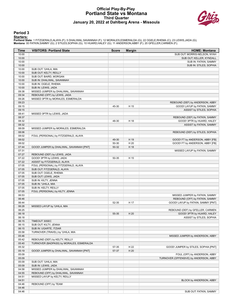#### **Official Play-By-Play Portland State vs Montana Third Quarter January 20, 2022 at Dahlberg Arena - Missoula**



#### **Period 3**

#### **Starters:**

**Portland State**: 1 FITZGERALD,ALAYA (F); 5 DHALIWAL,SAVANNAH (F); 12 MORALES,ESMERALDA (G); 22 OGELE,RHEMA (C); 23 LEWIS,JADA (G);<br>**Montana**: 00 FATKIN,SAMMY (G); 2 STILES,SOPHIA (G); 10 HUARD,HALEY (G); 11 ANDERSON,ABBY

| Time           | <b>VISITORS: Portland State</b>             | <b>Score</b> | <b>Margin</b> | <b>HOME: Montana</b>                   |
|----------------|---------------------------------------------|--------------|---------------|----------------------------------------|
| 10:00          |                                             |              |               | SUB OUT: MORRIS-NELSON, NYAH           |
| 10:00          |                                             |              |               | SUB OUT: KELLER, KYNDALL               |
| 10:00          |                                             |              |               | SUB IN: FATKIN, SAMMY                  |
| 10:00          |                                             |              |               | SUB IN: STILES, SOPHIA                 |
| 10:00          | SUB OUT: 'UHILA, MIA                        |              |               |                                        |
| 10:00          | SUB OUT: KELTY, REILLY                      |              |               |                                        |
| 10:00          | SUB OUT: BAIRD, MORGAN                      |              |               |                                        |
| 10:00          | SUB IN: DHALIWAL, SAVANNAH                  |              |               |                                        |
| 10:00          | SUB IN: OGELE, RHEMA                        |              |               |                                        |
| 10:00          | SUB IN: LEWIS, JADA                         |              |               |                                        |
| 09:38          | MISSED JUMPER by DHALIWAL, SAVANNAH         |              |               |                                        |
| 09:34          | REBOUND (OFF) by LEWIS, JADA                |              |               |                                        |
| 09:26          | MISSED 3PTR by MORALES, ESMERALDA           |              |               |                                        |
| 09:23          |                                             |              |               | REBOUND (DEF) by ANDERSON, ABBY        |
| 09:15          |                                             | 45-30        | H 15          | GOOD! LAYUP by FATKIN, SAMMY           |
| 09:15          |                                             |              |               | ASSIST by STILES, SOPHIA               |
| 08:41          | MISSED 3PTR by LEWIS, JADA                  |              |               |                                        |
| 08:37          |                                             |              |               | REBOUND (DEF) by FATKIN, SAMMY         |
| 08:32          |                                             | 48-30        | H 18          | GOOD! 3PTR by HUARD, HALEY             |
| 08:32          |                                             |              |               | ASSIST by FATKIN, SAMMY                |
| 08:09          | MISSED JUMPER by MORALES, ESMERALDA         |              |               |                                        |
| 08:06          |                                             |              |               | REBOUND (DEF) by STILES, SOPHIA        |
| 08:02          | FOUL (PERSONAL) by FITZGERALD, ALAYA        |              |               |                                        |
| 08:02          |                                             | 49-30        | H 19          | GOOD! FT by ANDERSON, ABBY [FB]        |
| 08:02          |                                             | 50-30        | H 20          | GOOD! FT by ANDERSON, ABBY [FB]        |
| 07:44          | GOOD! JUMPER by DHALIWAL, SAVANNAH [PNT]    | 50-32        | H 18          |                                        |
| 07:31          |                                             |              |               | MISSED LAYUP by FATKIN, SAMMY          |
| 07:27          | REBOUND (DEF) by LEWIS, JADA                |              |               |                                        |
| 07:22          | GOOD! 3PTR by LEWIS, JADA                   | 50-35        | H 15          |                                        |
| 07:22          | ASSIST by FITZGERALD, ALAYA                 |              |               |                                        |
| 07:05          | FOUL (PERSONAL) by FITZGERALD, ALAYA        |              |               |                                        |
| 07:05          | SUB OUT: FITZGERALD, ALAYA                  |              |               |                                        |
| 07:05<br>07:05 | SUB OUT: OGELE, RHEMA                       |              |               |                                        |
| 07:05          | SUB OUT: LEWIS, JADA                        |              |               |                                        |
| 07:05          | SUB IN: KILTY, JENNA<br>SUB IN: 'UHILA, MIA |              |               |                                        |
| 07:05          | SUB IN: KELTY, REILLY                       |              |               |                                        |
| 07:05          | FOUL (PERSONAL) by KILTY, JENNA             |              |               |                                        |
| 06:53          |                                             |              |               | MISSED JUMPER by FATKIN, SAMMY         |
| 06:46          |                                             |              |               | REBOUND (OFF) by FATKIN, SAMMY         |
| 06:44          |                                             | 52-35        | H 17          | GOOD! LAYUP by FATKIN, SAMMY [PNT]     |
| 06:28          | MISSED LAYUP by 'UHILA, MIA                 |              |               |                                        |
| 06:25          |                                             |              |               | REBOUND (DEF) by GFELLER, CARMEN       |
| 06:18          |                                             | 55-35        | H 20          | GOOD! 3PTR by HUARD, HALEY             |
| 06:18          |                                             |              |               | ASSIST by STILES, SOPHIA               |
| 06:15          | TIMEOUT 30SEC                               |              |               |                                        |
| 06:15          | SUB OUT: KILTY, JENNA                       |              |               |                                        |
| 06:15          | SUB IN: UGARTE, ITZIAR                      |              |               |                                        |
| 05:58          | TURNOVER (TRAVEL) by 'UHILA, MIA            |              |               |                                        |
| 05:46          |                                             |              |               | MISSED JUMPER by ANDERSON, ABBY        |
| 05:42          | REBOUND (DEF) by KELTY, REILLY              |              |               |                                        |
| 05:40          | TURNOVER (BADPASS) by MORALES, ESMERALDA    |              |               |                                        |
| 05:32          |                                             | 57-35        | H 22          | GOOD! JUMPER by STILES, SOPHIA [PNT]   |
| 05:19          | GOOD! JUMPER by DHALIWAL, SAVANNAH [PNT]    | 57-37        | H 20          |                                        |
| 05:09          |                                             |              |               | FOUL (OFF) by ANDERSON, ABBY           |
| 05:09          |                                             |              |               | TURNOVER (OFFENSIVE) by ANDERSON, ABBY |
| 05:09          | SUB OUT: 'UHILA, MIA                        |              |               |                                        |
| 05:09          | SUB IN: LEWIS, JADA                         |              |               |                                        |
| 04:58          | MISSED JUMPER by DHALIWAL, SAVANNAH         |              |               |                                        |
| 04:55          | REBOUND (OFF) by DHALIWAL, SAVANNAH         |              |               |                                        |
| 04:51          | MISSED LAYUP by KELTY, REILLY               |              |               |                                        |
| 04:51          |                                             |              |               | BLOCK by ANDERSON, ABBY                |
| 04:46          | REBOUND (OFF) by TEAM                       |              |               |                                        |
| 04:46          |                                             |              |               |                                        |
| 04:46          |                                             |              |               | SUB OUT: FATKIN, SAMMY                 |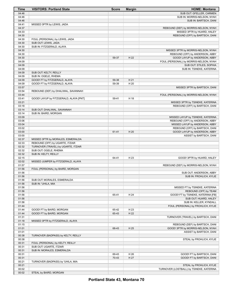| Time           | <b>VISITORS: Portland State</b>                    | <b>Score</b> | <b>Margin</b> | <b>HOME: Montana</b>                                                 |
|----------------|----------------------------------------------------|--------------|---------------|----------------------------------------------------------------------|
| 04:46          |                                                    |              |               | SUB OUT: GFELLER, CARMEN                                             |
| 04:46          |                                                    |              |               | SUB IN: MORRIS-NELSON, NYAH                                          |
| 04:46          |                                                    |              |               | SUB IN: BARTSCH, DANI                                                |
| 04:41          | MISSED 3PTR by LEWIS, JADA                         |              |               |                                                                      |
| 04:37          |                                                    |              |               | REBOUND (DEF) by MORRIS-NELSON, NYAH                                 |
| 04:33          |                                                    |              |               | MISSED 3PTR by HUARD, HALEY                                          |
| 04:30          |                                                    |              |               | REBOUND (OFF) by BARTSCH, DANI                                       |
| 04:30          | FOUL (PERSONAL) by LEWIS, JADA                     |              |               |                                                                      |
| 04:30<br>04:30 | SUB OUT: LEWIS, JADA                               |              |               |                                                                      |
| 04:30          | SUB IN: FITZGERALD, ALAYA                          |              |               | MISSED 3PTR by MORRIS-NELSON, NYAH                                   |
| 04:30          |                                                    |              |               | REBOUND (OFF) by ANDERSON, ABBY                                      |
| 04:30          |                                                    | 59-37        | H 22          | GOOD! LAYUP by ANDERSON, ABBY                                        |
| 04:09          |                                                    |              |               | FOUL (PERSONAL) by MORRIS-NELSON, NYAH                               |
| 04:09          |                                                    |              |               | SUB OUT: STILES, SOPHIA                                              |
| 04:09          |                                                    |              |               | SUB IN: TSINEKE, KATERINA                                            |
| 04:09          | SUB OUT: KELTY, REILLY                             |              |               |                                                                      |
| 04:09          | SUB IN: OGELE, RHEMA                               |              |               |                                                                      |
| 04:09          | GOOD! FT by FITZGERALD, ALAYA                      | 59-38        | H 21          |                                                                      |
| 04:09          | GOOD! FT by FITZGERALD, ALAYA                      | 59-39        | H 20          |                                                                      |
| 03:57          |                                                    |              |               | MISSED 3PTR by BARTSCH, DANI                                         |
| 03:54          | REBOUND (DEF) by DHALIWAL, SAVANNAH                |              |               |                                                                      |
| 03:44          |                                                    |              |               | FOUL (PERSONAL) by MORRIS-NELSON, NYAH                               |
| 03:41          | GOOD! LAYUP by FITZGERALD, ALAYA [PNT]             | 59-41        | H 18          |                                                                      |
| 03:21          |                                                    |              |               | MISSED 3PTR by TSINEKE, KATERINA                                     |
| 03:18          |                                                    |              |               | REBOUND (OFF) by BARTSCH, DANI                                       |
| 03:14          | SUB OUT: DHALIWAL, SAVANNAH                        |              |               |                                                                      |
| 03:14<br>03:09 | SUB IN: BAIRD, MORGAN                              |              |               |                                                                      |
| 03:06          |                                                    |              |               | MISSED LAYUP by TSINEKE, KATERINA<br>REBOUND (OFF) by ANDERSON, ABBY |
| 03:04          |                                                    |              |               | MISSED LAYUP by ANDERSON, ABBY                                       |
| 03:02          |                                                    |              |               | REBOUND (OFF) by BARTSCH, DANI                                       |
| 03:00          |                                                    | 61-41        | H 20          | GOOD! LAYUP by ANDERSON, ABBY                                        |
| 03:00          |                                                    |              |               | ASSIST by BARTSCH, DANI                                              |
| 02:37          | MISSED 3PTR by MORALES, ESMERALDA                  |              |               |                                                                      |
| 02:33          | REBOUND (OFF) by UGARTE, ITZIAR                    |              |               |                                                                      |
| 02:32          | TURNOVER (TRAVEL) by UGARTE, ITZIAR                |              |               |                                                                      |
| 02:32          | SUB OUT: OGELE, RHEMA                              |              |               |                                                                      |
| 02:32          | SUB IN: KELTY, REILLY                              |              |               |                                                                      |
| 02:15          |                                                    | 64-41        | H 23          | GOOD! 3PTR by HUARD, HALEY                                           |
| 02:02          | MISSED JUMPER by FITZGERALD, ALAYA                 |              |               |                                                                      |
| 01:57          |                                                    |              |               | REBOUND (DEF) by MORRIS-NELSON, NYAH                                 |
| 01:56          | FOUL (PERSONAL) by BAIRD, MORGAN                   |              |               |                                                                      |
| 01:56          |                                                    |              |               | SUB OUT: ANDERSON, ABBY                                              |
| 01:56<br>01:56 |                                                    |              |               | SUB IN: FROHLICH, KYLIE                                              |
| 01:56          | SUB OUT: MORALES, ESMERALDA<br>SUB IN: 'UHILA, MIA |              |               |                                                                      |
| 01:56          |                                                    |              |               | MISSED FT by TSINEKE, KATERINA                                       |
| 01:56          |                                                    |              |               | REBOUND (OFF) by TEAM                                                |
| 01:56          |                                                    | 65-41        | H 24          | GOOD! FT by TSINEKE, KATERINA [FB]                                   |
| 01:56          |                                                    |              |               | SUB OUT: HUARD, HALEY                                                |
| 01:56          |                                                    |              |               | SUB IN: KELLER, KYNDALL                                              |
| 01:44          |                                                    |              |               | FOUL (PERSONAL) by FROHLICH, KYLIE                                   |
| 01:44          | GOOD! FT by BAIRD, MORGAN                          | 65-42        | H 23          |                                                                      |
| 01:44          | GOOD! FT by BAIRD, MORGAN                          | 65-43        | H 22          |                                                                      |
| 01:31          |                                                    |              |               | TURNOVER (TRAVEL) by BARTSCH, DANI                                   |
| 01:18          | MISSED 3PTR by FITZGERALD, ALAYA                   |              |               |                                                                      |
| 01:15          |                                                    |              |               | REBOUND (DEF) by BARTSCH, DANI                                       |
| 01:01          |                                                    | 68-43        | H 25          | GOOD! 3PTR by MORRIS-NELSON, NYAH                                    |
| 01:01          |                                                    |              |               | ASSIST by BARTSCH, DANI                                              |
| 00:38          | TURNOVER (BADPASS) by KELTY, REILLY                |              |               |                                                                      |
| 00:38          |                                                    |              |               | STEAL by FROHLICH, KYLIE                                             |
| 00:31          | FOUL (PERSONAL) by KELTY, REILLY                   |              |               |                                                                      |
| 00:31          | SUB OUT: UGARTE, ITZIAR                            |              |               |                                                                      |
| 00:31          | SUB IN: MORALES, ESMERALDA                         |              |               |                                                                      |
| 00:31          |                                                    | 69-43        | H 26          | GOOD! FT by BARTSCH, DANI                                            |
| 00:31          |                                                    | 70-43        | H 27          | GOOD! FT by BARTSCH, DANI                                            |
| 00:21<br>00:21 | TURNOVER (BADPASS) by 'UHILA, MIA                  |              |               |                                                                      |
| 00:02          |                                                    |              |               | STEAL by FROHLICH, KYLIE<br>TURNOVER (LOSTBALL) by TSINEKE, KATERINA |
| 00:02          | STEAL by BAIRD, MORGAN                             |              |               |                                                                      |
|                |                                                    |              |               |                                                                      |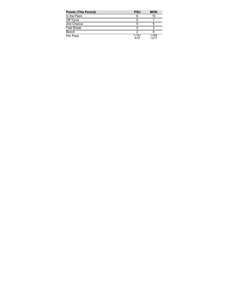| <b>Points (This Period)</b> | <b>PSU</b>    | <b>MON</b>     |
|-----------------------------|---------------|----------------|
| In the Paint                | 6             | 10             |
| Off Turns                   |               |                |
| 2nd Chance                  |               |                |
| <b>Fast Break</b>           |               |                |
| Bench                       |               |                |
| Per Poss                    | 0.722<br>6/18 | 1.588<br>12/17 |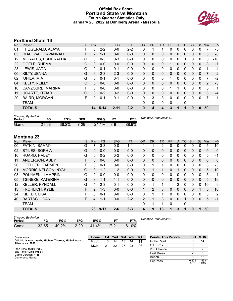#### **Official Box Score Portland State vs Montana Fourth Quarter Statistics Only January 20, 2022 at Dahlberg Arena - Missoula**



## **Portland State 14**

| No. | Plaver                | S | <b>Pts</b>     | <b>FG</b> | 3FG      | <b>FT</b> | <b>OR</b>    | <b>DR</b>    | <b>TR</b> | PF       | $\mathsf{A}$ | TO | <b>Blk</b> | <b>Stl</b>   | <b>Min</b> | $+/-$ |
|-----|-----------------------|---|----------------|-----------|----------|-----------|--------------|--------------|-----------|----------|--------------|----|------------|--------------|------------|-------|
| 01  | FITZGERALD, ALAYA     | F | 6              | $2 - 2$   | $0 - 0$  | $2 - 2$   | 0            |              |           | 0        | $\Omega$     | 0  | 0          | 0            |            | -5    |
| 05  | DHALIWAL, SAVANNAH    | F | $\overline{2}$ | $1 - 1$   | $0 - 0$  | $0 - 0$   | 0            | 0            | 0         | 0        | $\Omega$     | 0  | 0          | $\mathbf{0}$ | 3          | -8    |
| 12  | MORALES, ESMERALDA    | G | 0              | $0 - 3$   | $0 - 3$  | $0 - 0$   | 0            | $\mathbf{0}$ | 0         | 0        | 0            |    | 0          | 0            | 5          | $-10$ |
| 22  | OGELE, RHEMA          | C | $\Omega$       | $0 - 0$   | $0 - 0$  | $0 - 0$   | $\Omega$     | $\mathbf{0}$ | 0         |          | $\Omega$     | 0  | $\Omega$   | $\mathbf{0}$ | 3          | $-7$  |
| 23  | LEWIS, JADA           | G | $\Omega$       | $0 - 1$   | $0 - 1$  | $0 - 0$   | $\mathbf{0}$ | 0            | 0         | 0        | $\Omega$     | 0  | 0          | $\Omega$     | 1          | -4    |
| 00  | KILTY, JENNA          | G | 6              | $2 - 3$   | $2 - 3$  | $0 - 0$   | 0            | $\Omega$     | 0         | $\Omega$ | $\Omega$     | 0  | 0          | $\mathbf{0}$ | 7          | $-2$  |
| 02  | 'UHILA, MIA           | G | 0              | $0 - 1$   | $0 - 1$  | $0 - 0$   | $\Omega$     | $\mathbf{0}$ | 0         |          | 0            | 0  | 0          | 0            | 7          | $-2$  |
| 04  | <b>KELTY, REILLY</b>  | C | $\Omega$       | $0 - 0$   | $0 - 0$  | $0 - 0$   | $\Omega$     | $\Omega$     | $\Omega$  | 0        | $\Omega$     | 0  | $\Omega$   | $\Omega$     | 2          | $-3$  |
| 10  | CANZOBRE, MARINA      | F | 0              | $0 - 0$   | $0 - 0$  | $0 - 0$   | $\mathbf{0}$ | $\mathbf{0}$ | 0         |          |              | 0  | 0          | $\mathbf 0$  | 5          | 1     |
| 11  | <b>UGARTE, ITZIAR</b> | G | $\Omega$       | $0 - 2$   | $0 - 2$  | $0 - 0$   | $\Omega$     | $\mathbf{0}$ | 0         | 0        | $\Omega$     | 0  | 0          | $\Omega$     | 3          | $-4$  |
| 20  | <b>BAIRD, MORGAN</b>  | F | 0              | $0 - 1$   | $0 - 1$  | $0 - 0$   | $\mathbf{0}$ | 3            | 3         | 0        | $\Omega$     | 0  | 0          | 0            | 7          | -1    |
|     | <b>TEAM</b>           |   |                |           |          |           | $\Omega$     | 0            | 0         | 0        |              | 0  |            |              |            |       |
|     | <b>TOTALS</b>         |   | 14             | $5 - 14$  | $2 - 11$ | $2 - 2$   | $\bf{0}$     | 4            | 4         | 3        |              |    | 0          | $\bf{0}$     | 50         |       |

| <b>Shooting By Period</b><br>Period | FG    | FG%   | 3FG      | 3FG%  | FT  | FT%   | Deadball Rebounds: 1,0 |
|-------------------------------------|-------|-------|----------|-------|-----|-------|------------------------|
| Game                                | 21-58 | 36.2% | $7 - 29$ | 24.1% | 8-9 | 88.9% |                        |

## **Montana 23**

| No. | Plaver                 | S  | <b>Pts</b>     | FG       | 3FG     | <b>FT</b> | <b>OR</b>    | DR.            | TR           | PF | A            | TO       | <b>Blk</b>   | <b>Stl</b> | Min          | $+/-$       |
|-----|------------------------|----|----------------|----------|---------|-----------|--------------|----------------|--------------|----|--------------|----------|--------------|------------|--------------|-------------|
| 00  | FATKIN, SAMMY          | G  |                | $3 - 3$  | $0-0$   | 1-1       |              |                | 2            | 0  | 0            | 0        | 0            | 0          | 5            | 10          |
| 02  | STILES, SOPHIA         | G  | 0              | $0 - 0$  | $0 - 0$ | $0 - 0$   | 0            | 0              | 0            | 0  | $\mathbf{0}$ | 0        | 0            | 0          | $\mathbf 0$  | $\mathbf 0$ |
| 10  | HUARD, HALEY           | G  | 0              | $0 - 2$  | $0 - 2$ | $0-0$     | 0            | 0              | $\mathbf{0}$ | 0  | $\mathbf{0}$ | 0        | 0            | 0          | 5            | $-1$        |
| 11  | ANDERSON, ABBY         | F. | 0              | $0 - 0$  | $0 - 0$ | $0-0$     | 0            | 0              | $\mathbf 0$  | 0  | $\mathbf{0}$ | 0        | $\mathbf{0}$ | 0          | $\mathbf{0}$ | $\mathbf 0$ |
| 20  | <b>GFELLER, CARMEN</b> | F  | 0              | $0 - 1$  | $0 - 0$ | $0 - 0$   | $\mathbf{0}$ | 1              | 1            | 0  | 0            | 0        | 0            | 0          | 3            | $-3$        |
| 01  | MORRIS-NELSON, NYAH    | G  | 3              | $1 - 2$  | $1 - 2$ | $0 - 0$   | $\Omega$     |                | 1.           | 0  |              | $\Omega$ | 0            | 0          | 5            | 10          |
| 03  | POLYMENI, LAMPRINI     | G  | 0              | $0 - 0$  | $0 - 0$ | $0 - 0$   | 0            | 0              | $\mathbf{0}$ | 0  | 0            | 0        | 0            | 0          | 5            | -1          |
| 05  | TSINEKE, KATERINA      | G  | 3              | $1 - 1$  | $1 - 1$ | $0 - 0$   | $\Omega$     | 0              | $\Omega$     | 0  | $\mathbf{0}$ | 0        | 0            | $\Omega$   | 5            | 10          |
| 12  | <b>KELLER, KYNDALL</b> | G  | 4              | $2 - 3$  | $0 - 1$ | $0 - 0$   | 0            |                | 1            |    | 2            | 0        | 0            | 0          | 10           | 9           |
| 13  | <b>FROHLICH, KYLIE</b> | F  | $\overline{2}$ | $1 - 3$  | $0 - 0$ | $0 - 0$   | $\mathbf 1$  | $\overline{2}$ | 3            | 0  | $\Omega$     | $\Omega$ | 0            | 1          | 5            | 10          |
| 24  | KIEFER, LISA           | F  | 0              | $0 - 1$  | $0 - 0$ | $0 - 0$   | 0            |                | 1            | 0  | $\mathbf{0}$ | 0        | 0            | 0          | 3            | 2           |
| 40  | <b>BARTSCH, DANI</b>   | F  | 4              | $1 - 1$  | $0 - 0$ | $2 - 2$   | 2            | 1              | 3            | 0  | $\Omega$     | 1        | 0            | 0          | 5            | $-1$        |
|     | <b>TEAM</b>            |    |                |          |         |           | 0            | 1              | 1            | 0  |              | 0        |              |            |              |             |
|     | <b>TOTALS</b>          |    | 23             | $9 - 17$ | $2 - 6$ | $3 - 3$   | 4            | 9              | 13           | 1  | 3            | 1        | 0            |            | 50           |             |

| <b>Shooting By Period</b><br>Period |           | FG%   | 3FG       | 3FG%     |         | FT%   | Deadball Rebounds: 2,0 |
|-------------------------------------|-----------|-------|-----------|----------|---------|-------|------------------------|
| Game                                | $32 - 65$ | 49.2% | $12 - 29$ | $41.4\%$ | $17-21$ | 81.0% |                        |

| Game Notes:                                                                | <b>Score</b> |    | 1st 2nd | 3rd | 4th | тот | <b>Points (This Period)</b> | <b>PSU</b>    | <b>MON</b>     |
|----------------------------------------------------------------------------|--------------|----|---------|-----|-----|-----|-----------------------------|---------------|----------------|
| Officials: Karen Lasuik, Michael Thorner, Michal Watts<br>Attendance: 2288 | PSU          | 16 | 14      | 13  | 14  | 57  | In the Paint                |               | 14             |
|                                                                            | <b>MON</b>   | 21 | 22      | 27  | 23  | 93  | Off Turns                   |               |                |
| Start Time: 09:02 PM ET                                                    |              |    |         |     |     |     | 2nd Chance                  |               |                |
| End Time: 10:51 PM ET<br>Game Duration: 1:48                               |              |    |         |     |     |     | <b>Fast Break</b>           |               |                |
| Conference Game:                                                           |              |    |         |     |     |     | Bench                       |               | 16             |
|                                                                            |              |    |         |     |     |     | Per Poss                    | 0.875<br>6/16 | 1.533<br>11/15 |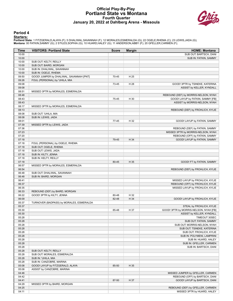#### **Official Play-By-Play Portland State vs Montana Fourth Quarter January 20, 2022 at Dahlberg Arena - Missoula**



#### **Period 4**

#### **Starters:**

**Portland State**: 1 FITZGERALD,ALAYA (F); 5 DHALIWAL,SAVANNAH (F); 12 MORALES,ESMERALDA (G); 22 OGELE,RHEMA (C); 23 LEWIS,JADA (G);<br>**Montana**: 00 FATKIN,SAMMY (G); 2 STILES,SOPHIA (G); 10 HUARD,HALEY (G); 11 ANDERSON,ABBY

| Time           | <b>VISITORS: Portland State</b>                              | <b>Score</b> | <b>Margin</b> | <b>HOME: Montana</b>                   |
|----------------|--------------------------------------------------------------|--------------|---------------|----------------------------------------|
| 10:00          |                                                              |              |               | SUB OUT: BARTSCH, DANI                 |
| 10:00          |                                                              |              |               | SUB IN: FATKIN, SAMMY                  |
| 10:00          | SUB OUT: KELTY, REILLY                                       |              |               |                                        |
| 10:00          | SUB OUT: BAIRD, MORGAN                                       |              |               |                                        |
| 10:00          | SUB IN: DHALIWAL, SAVANNAH                                   |              |               |                                        |
| 10:00          | SUB IN: OGELE, RHEMA                                         |              |               |                                        |
| 09:50          | GOOD! JUMPER by DHALIWAL, SAVANNAH [PNT]                     | 70-45        | H 25          |                                        |
| 09:26          | FOUL (PERSONAL) by 'UHILA, MIA                               |              |               |                                        |
| 09:08          |                                                              | 73-45        | H 28          | GOOD! 3PTR by TSINEKE, KATERINA        |
| 09:08          |                                                              |              |               | ASSIST by KELLER, KYNDALL              |
| 08:51          | MISSED 3PTR by MORALES, ESMERALDA                            |              |               |                                        |
| 08:48          |                                                              |              |               | REBOUND (DEF) by MORRIS-NELSON, NYAH   |
| 08:43          |                                                              | 75-45        | H 30          | GOOD! LAYUP by FATKIN, SAMMY [FB]      |
| 08:43          |                                                              |              |               | ASSIST by MORRIS-NELSON, NYAH          |
| 08:17          | MISSED 3PTR by MORALES, ESMERALDA                            |              |               |                                        |
| 08:13          |                                                              |              |               | REBOUND (DEF) by FROHLICH, KYLIE       |
| 08:08          | SUB OUT: 'UHILA, MIA                                         |              |               |                                        |
| 08:08          | SUB IN: LEWIS, JADA                                          |              |               |                                        |
| 08:01          |                                                              | 77-45        | H 32          | GOOD! LAYUP by FATKIN, SAMMY           |
| 07:39          | MISSED 3PTR by LEWIS, JADA                                   |              |               |                                        |
| 07:36          |                                                              |              |               | REBOUND (DEF) by FATKIN, SAMMY         |
| 07:23          |                                                              |              |               | MISSED 3PTR by MORRIS-NELSON, NYAH     |
| 07:20          |                                                              |              |               | REBOUND (OFF) by FATKIN, SAMMY         |
| 07:18          |                                                              | 79-45        | H 34          | GOOD! LAYUP by FATKIN, SAMMY           |
| 07:18          | FOUL (PERSONAL) by OGELE, RHEMA                              |              |               |                                        |
| 07:18          | SUB OUT: OGELE, RHEMA                                        |              |               |                                        |
| 07:18          | SUB OUT: LEWIS, JADA                                         |              |               |                                        |
| 07:18          | SUB IN: KILTY, JENNA                                         |              |               |                                        |
| 07:18          | SUB IN: KELTY, REILLY                                        |              |               |                                        |
| 07:18          |                                                              | 80-45        | H 35          | GOOD! FT by FATKIN, SAMMY              |
| 06:57          | MISSED 3PTR by MORALES, ESMERALDA                            |              |               |                                        |
| 06:54          |                                                              |              |               | REBOUND (DEF) by FROHLICH, KYLIE       |
| 06:48          | SUB OUT: DHALIWAL, SAVANNAH                                  |              |               |                                        |
| 06:48          | SUB IN: BAIRD, MORGAN                                        |              |               |                                        |
| 06:41          |                                                              |              |               | MISSED LAYUP by FROHLICH, KYLIE        |
| 06:37          |                                                              |              |               | REBOUND (OFF) by FROHLICH, KYLIE       |
| 06:35<br>06:33 |                                                              |              |               | MISSED LAYUP by FROHLICH, KYLIE        |
| 06:22          | REBOUND (DEF) by BAIRD, MORGAN<br>GOOD! 3PTR by KILTY, JENNA | 80-48        | H 32          |                                        |
| 06:09          |                                                              | 82-48        | H 34          | GOOD! LAYUP by FROHLICH, KYLIE         |
| 05:37          | TURNOVER (BADPASS) by MORALES, ESMERALDA                     |              |               |                                        |
| 05:37          |                                                              |              |               | STEAL by FROHLICH, KYLIE               |
| 05:30          |                                                              | 85-48        | H 37          | GOOD! 3PTR by MORRIS-NELSON, NYAH [FB] |
| 05:30          |                                                              |              |               | ASSIST by KELLER, KYNDALL              |
| 05:28          |                                                              |              |               | TIMEOUT 30SEC                          |
| 05:28          |                                                              |              |               | SUB OUT: FATKIN, SAMMY                 |
| 05:28          |                                                              |              |               | SUB OUT: MORRIS-NELSON, NYAH           |
| 05:28          |                                                              |              |               | SUB OUT: TSINEKE, KATERINA             |
| 05:28          |                                                              |              |               | SUB OUT: FROHLICH, KYLIE               |
| 05:28          |                                                              |              |               | SUB IN: POLYMENI, LAMPRINI             |
| 05:28          |                                                              |              |               | SUB IN: HUARD, HALEY                   |
| 05:28          |                                                              |              |               | SUB IN: GFELLER, CARMEN                |
| 05:28          |                                                              |              |               | SUB IN: BARTSCH, DANI                  |
| 05:28          | SUB OUT: KELTY, REILLY                                       |              |               |                                        |
| 05:28          | SUB OUT: MORALES, ESMERALDA                                  |              |               |                                        |
| 05:28          | SUB IN: 'UHILA, MIA                                          |              |               |                                        |
| 05:28          | SUB IN: CANZOBRE, MARINA                                     |              |               |                                        |
| 05:08          | GOOD! LAYUP by FITZGERALD, ALAYA                             | 85-50        | H 35          |                                        |
| 05:08          | ASSIST by CANZOBRE, MARINA                                   |              |               |                                        |
| 04:46          |                                                              |              |               | MISSED JUMPER by GFELLER, CARMEN       |
| 04:42          |                                                              |              |               | REBOUND (OFF) by BARTSCH, DANI         |
| 04:41          |                                                              | 87-50        | H 37          | GOOD! LAYUP by BARTSCH, DANI           |
| 04:29          | MISSED 3PTR by BAIRD, MORGAN                                 |              |               |                                        |
| 04:25          |                                                              |              |               | REBOUND (DEF) by GFELLER, CARMEN       |
| 04:11          |                                                              |              |               | MISSED 3PTR by HUARD, HALEY            |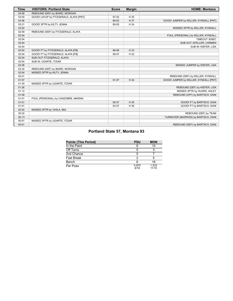| <b>Time</b> | <b>VISITORS: Portland State</b>        | <b>Score</b> | <b>Margin</b> | <b>HOME: Montana</b>                  |
|-------------|----------------------------------------|--------------|---------------|---------------------------------------|
| 04:08       | REBOUND (DEF) by BAIRD, MORGAN         |              |               |                                       |
| 03:50       | GOOD! LAYUP by FITZGERALD, ALAYA [PNT] | 87-52        | H 35          |                                       |
| 03:36       |                                        | 89-52        | H 37          | GOOD! JUMPER by KELLER, KYNDALL [PNT] |
| 03:21       | GOOD! 3PTR by KILTY, JENNA             | 89-55        | H 34          |                                       |
| 03:02       |                                        |              |               | MISSED 3PTR by KELLER, KYNDALL        |
| 02:59       | REBOUND (DEF) by FITZGERALD, ALAYA     |              |               |                                       |
| 02:54       |                                        |              |               | FOUL (PERSONAL) by KELLER, KYNDALL    |
| 02:54       |                                        |              |               | TIMEOUT 30SEC                         |
| 02:54       |                                        |              |               | SUB OUT: GFELLER, CARMEN              |
| 02:54       |                                        |              |               | SUB IN: KIEFER, LISA                  |
| 02:54       | GOOD! FT by FITZGERALD, ALAYA [FB]     | 89-56        | H 33          |                                       |
| 02:54       | GOOD! FT by FITZGERALD, ALAYA [FB]     | 89-57        | H 32          |                                       |
| 02:54       | SUB OUT: FITZGERALD, ALAYA             |              |               |                                       |
| 02:54       | SUB IN: UGARTE, ITZIAR                 |              |               |                                       |
| 02:36       |                                        |              |               | MISSED JUMPER by KIEFER, LISA         |
| 02:32       | REBOUND (DEF) by BAIRD, MORGAN         |              |               |                                       |
| 02:04       | MISSED 3PTR by KILTY, JENNA            |              |               |                                       |
| 02:01       |                                        |              |               | REBOUND (DEF) by KELLER, KYNDALL      |
| 01:57       |                                        | 91-57        | H 34          | GOOD! JUMPER by KELLER, KYNDALL [PNT] |
| 01:30       | MISSED 3PTR by UGARTE, ITZIAR          |              |               |                                       |
| 01:26       |                                        |              |               | REBOUND (DEF) by KIEFER, LISA         |
| 01:12       |                                        |              |               | MISSED 3PTR by HUARD, HALEY           |
| 01:08       |                                        |              |               | REBOUND (OFF) by BARTSCH, DANI        |
| 01:01       | FOUL (PERSONAL) by CANZOBRE, MARINA    |              |               |                                       |
| 01:01       |                                        | $92 - 57$    | H 35          | GOOD! FT by BARTSCH, DANI             |
| 01:01       |                                        | 93-57        | H 36          | GOOD! FT by BARTSCH, DANI             |
| 00:32       | MISSED 3PTR by 'UHILA, MIA             |              |               |                                       |
| 00:32       |                                        |              |               | REBOUND (DEF) by TEAM                 |
| 00:13       |                                        |              |               | TURNOVER (BADPASS) by BARTSCH, DANI   |
| 00:01       | MISSED 3PTR by UGARTE, ITZIAR          |              |               |                                       |
| 00:01       |                                        |              |               | REBOUND (DEF) by BARTSCH, DANI        |

## **Portland State 57, Montana 93**

| Points (This Period) | <b>PSU</b>    | <b>MON</b>     |
|----------------------|---------------|----------------|
| In the Paint         |               | 14             |
| Off Turns            |               | ิว             |
| 2nd Chance           |               |                |
| Fast Break           |               | 5              |
| Bench                |               | 16             |
| Per Poss             | 0.875<br>6/16 | 1.533<br>11/15 |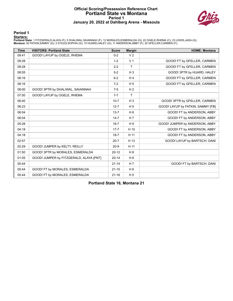#### **Official Scoring/Possession Reference Chart Portland State vs Montana Period 1 January 20, 2022 at Dahlberg Arena - Missoula**



**Period 1**

#### **Starters:**

**Portland State**: 1 FITZGERALD,ALAYA (F); 5 DHALIWAL,SAVANNAH (F); 12 MORALES,ESMERALDA (G); 22 OGELE,RHEMA (C); 23 LEWIS,JADA (G);<br>**Montana**: 00 FATKIN,SAMMY (G); 2 STILES,SOPHIA (G); 10 HUARD,HALEY (G); 11 ANDERSON,ABBY

| <b>Time</b> | <b>VISITORS: Portland State</b>         | <b>Score</b> | <b>Margin</b>  | <b>HOME: Montana</b>              |
|-------------|-----------------------------------------|--------------|----------------|-----------------------------------|
| 09:41       | GOOD! LAYUP by OGELE, RHEMA             | $0 - 2$      | V <sub>2</sub> |                                   |
| 09:28       |                                         | $1 - 2$      | V <sub>1</sub> | GOOD! FT by GFELLER, CARMEN       |
| 09:28       |                                         | $2 - 2$      | $\mathsf{T}$   | GOOD! FT by GFELLER, CARMEN       |
| 08:55       |                                         | $5-2$        | $H_3$          | GOOD! 3PTR by HUARD, HALEY        |
| 08:16       |                                         | $6 - 2$      | H <sub>4</sub> | GOOD! FT by GFELLER, CARMEN       |
| 08:16       |                                         | $7-2$        | H <sub>5</sub> | GOOD! FT by GFELLER, CARMEN       |
| 08:00       | GOOD! 3PTR by DHALIWAL, SAVANNAH        | $7-5$        | H <sub>2</sub> |                                   |
| 07:00       | GOOD! LAYUP by OGELE, RHEMA             | $7 - 7$      | T              |                                   |
| 06:40       |                                         | $10 - 7$     | $H_3$          | GOOD! 3PTR by GFELLER, CARMEN     |
| 06:23       |                                         | $12 - 7$     | H <sub>5</sub> | GOOD! LAYUP by FATKIN, SAMMY [FB] |
| 06:04       |                                         | $13 - 7$     | H <sub>6</sub> | GOOD! FT by ANDERSON, ABBY        |
| 06:04       |                                         | $14 - 7$     | H <sub>7</sub> | GOOD! FT by ANDERSON, ABBY        |
| 05:28       |                                         | $16 - 7$     | H <sub>9</sub> | GOOD! JUMPER by ANDERSON, ABBY    |
| 04:18       |                                         | $17 - 7$     | H 10           | GOOD! FT by ANDERSON, ABBY        |
| 04:18       |                                         | $18 - 7$     | H 11           | GOOD! FT by ANDERSON, ABBY        |
| 02:57       |                                         | $20 - 7$     | H 13           | GOOD! LAYUP by BARTSCH, DANI      |
| 02:29       | GOOD! JUMPER by KELTY, REILLY           | $20 - 9$     | H 11           |                                   |
| 01:50       | GOOD! 3PTR by MORALES, ESMERALDA        | $20 - 12$    | H <sub>8</sub> |                                   |
| 01:05       | GOOD! JUMPER by FITZGERALD, ALAYA [PNT] | $20 - 14$    | H <sub>6</sub> |                                   |
| 00:44       |                                         | $21 - 14$    | H <sub>7</sub> | GOOD! FT by BARTSCH, DANI         |
| 00:44       | GOOD! FT by MORALES, ESMERALDA          | $21 - 15$    | H <sub>6</sub> |                                   |
| 00:44       | GOOD! FT by MORALES, ESMERALDA          | $21 - 16$    | H <sub>5</sub> |                                   |

**Portland State 16, Montana 21**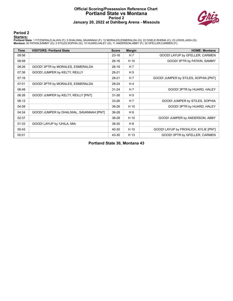#### **Official Scoring/Possession Reference Chart Portland State vs Montana Period 2 January 20, 2022 at Dahlberg Arena - Missoula**



**Period 2**

#### **Starters:**

**Portland State**: 1 FITZGERALD,ALAYA (F); 5 DHALIWAL,SAVANNAH (F); 12 MORALES,ESMERALDA (G); 22 OGELE,RHEMA (C); 23 LEWIS,JADA (G);<br>**Montana**: 00 FATKIN,SAMMY (G); 2 STILES,SOPHIA (G); 10 HUARD,HALEY (G); 11 ANDERSON,ABBY

| <b>Time</b> | <b>VISITORS: Portland State</b>          | <b>Score</b> | <b>Margin</b>  | <b>HOME: Montana</b>                 |
|-------------|------------------------------------------|--------------|----------------|--------------------------------------|
| 09:56       |                                          | $23 - 16$    | H <sub>7</sub> | GOOD! LAYUP by GFELLER, CARMEN       |
| 08:58       |                                          | $26 - 16$    | H 10           | GOOD! 3PTR by FATKIN, SAMMY          |
| 08:26       | GOOD! 3PTR by MORALES, ESMERALDA         | $26-19$      | H 7            |                                      |
| 07:36       | GOOD! JUMPER by KELTY, REILLY            | $26 - 21$    | H <sub>5</sub> |                                      |
| 07:16       |                                          | 28-21        | H <sub>7</sub> | GOOD! JUMPER by STILES, SOPHIA [PNT] |
| 07:01       | GOOD! 3PTR by MORALES, ESMERALDA         | 28-24        | H <sub>4</sub> |                                      |
| 06:48       |                                          | $31 - 24$    | H <sub>7</sub> | GOOD! 3PTR by HUARD, HALEY           |
| 06:26       | GOOD! JUMPER by KELTY, REILLY [PNT]      | $31 - 26$    | H <sub>5</sub> |                                      |
| 06:12       |                                          | $33 - 26$    | H <sub>7</sub> | GOOD! JUMPER by STILES, SOPHIA       |
| 04:58       |                                          | 36-26        | H 10           | GOOD! 3PTR by HUARD, HALEY           |
| 04:34       | GOOD! JUMPER by DHALIWAL, SAVANNAH [PNT] | 36-28        | H 8            |                                      |
| 02:37       |                                          | 38-28        | H 10           | GOOD! JUMPER by ANDERSON, ABBY       |
| 01:33       | GOOD! LAYUP by 'UHILA, MIA               | 38-30        | H 8            |                                      |
| 00:43       |                                          | 40-30        | H 10           | GOOD! LAYUP by FROHLICH, KYLIE [PNT] |
| 00:01       |                                          | 43-30        | H 13           | GOOD! 3PTR by GFELLER, CARMEN        |

**Portland State 30, Montana 43**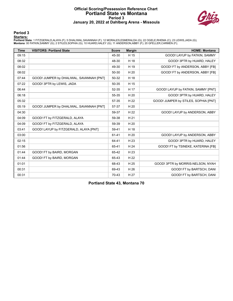#### **Official Scoring/Possession Reference Chart Portland State vs Montana Period 3 January 20, 2022 at Dahlberg Arena - Missoula**



**Period 3**

#### **Starters:**

**Portland State**: 1 FITZGERALD,ALAYA (F); 5 DHALIWAL,SAVANNAH (F); 12 MORALES,ESMERALDA (G); 22 OGELE,RHEMA (C); 23 LEWIS,JADA (G);<br>**Montana**: 00 FATKIN,SAMMY (G); 2 STILES,SOPHIA (G); 10 HUARD,HALEY (G); 11 ANDERSON,ABBY

| <b>Time</b> | <b>VISITORS: Portland State</b>          | <b>Score</b> | <b>Margin</b> | <b>HOME: Montana</b>                 |
|-------------|------------------------------------------|--------------|---------------|--------------------------------------|
| 09:15       |                                          | 45-30        | H 15          | GOOD! LAYUP by FATKIN, SAMMY         |
| 08:32       |                                          | 48-30        | H 18          | GOOD! 3PTR by HUARD, HALEY           |
| 08:02       |                                          | 49-30        | H 19          | GOOD! FT by ANDERSON, ABBY [FB]      |
| 08:02       |                                          | 50-30        | H 20          | GOOD! FT by ANDERSON, ABBY [FB]      |
| 07:44       | GOOD! JUMPER by DHALIWAL, SAVANNAH [PNT] | 50-32        | H 18          |                                      |
| 07:22       | GOOD! 3PTR by LEWIS, JADA                | 50-35        | H 15          |                                      |
| 06:44       |                                          | 52-35        | H 17          | GOOD! LAYUP by FATKIN, SAMMY [PNT]   |
| 06:18       |                                          | 55-35        | H 20          | GOOD! 3PTR by HUARD, HALEY           |
| 05:32       |                                          | 57-35        | H 22          | GOOD! JUMPER by STILES, SOPHIA [PNT] |
| 05:19       | GOOD! JUMPER by DHALIWAL, SAVANNAH [PNT] | 57-37        | H 20          |                                      |
| 04:30       |                                          | 59-37        | H 22          | GOOD! LAYUP by ANDERSON, ABBY        |
| 04:09       | GOOD! FT by FITZGERALD, ALAYA            | 59-38        | H 21          |                                      |
| 04:09       | GOOD! FT by FITZGERALD, ALAYA            | 59-39        | H 20          |                                      |
| 03:41       | GOOD! LAYUP by FITZGERALD, ALAYA [PNT]   | 59-41        | H 18          |                                      |
| 03:00       |                                          | 61-41        | H 20          | GOOD! LAYUP by ANDERSON, ABBY        |
| 02:15       |                                          | 64-41        | H 23          | GOOD! 3PTR by HUARD, HALEY           |
| 01:56       |                                          | 65-41        | H 24          | GOOD! FT by TSINEKE, KATERINA [FB]   |
| 01:44       | GOOD! FT by BAIRD, MORGAN                | 65-42        | H 23          |                                      |
| 01:44       | GOOD! FT by BAIRD, MORGAN                | 65-43        | H 22          |                                      |
| 01:01       |                                          | 68-43        | H 25          | GOOD! 3PTR by MORRIS-NELSON, NYAH    |
| 00:31       |                                          | 69-43        | H 26          | GOOD! FT by BARTSCH, DANI            |
| 00:31       |                                          | 70-43        | H 27          | GOOD! FT by BARTSCH, DANI            |

**Portland State 43, Montana 70**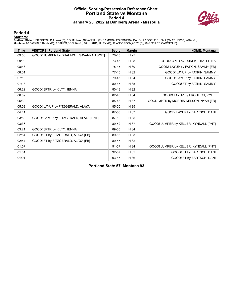#### **Official Scoring/Possession Reference Chart Portland State vs Montana Period 4 January 20, 2022 at Dahlberg Arena - Missoula**



**Period 4**

#### **Starters:**

**Portland State**: 1 FITZGERALD,ALAYA (F); 5 DHALIWAL,SAVANNAH (F); 12 MORALES,ESMERALDA (G); 22 OGELE,RHEMA (C); 23 LEWIS,JADA (G);<br>**Montana**: 00 FATKIN,SAMMY (G); 2 STILES,SOPHIA (G); 10 HUARD,HALEY (G); 11 ANDERSON,ABBY

| <b>Time</b> | <b>VISITORS: Portland State</b>          | <b>Score</b> | <b>Margin</b> | <b>HOME: Montana</b>                   |
|-------------|------------------------------------------|--------------|---------------|----------------------------------------|
| 09:50       | GOOD! JUMPER by DHALIWAL, SAVANNAH [PNT] | 70-45        | H 25          |                                        |
| 09:08       |                                          | 73-45        | H 28          | GOOD! 3PTR by TSINEKE, KATERINA        |
| 08:43       |                                          | 75-45        | H 30          | GOOD! LAYUP by FATKIN, SAMMY [FB]      |
| 08:01       |                                          | $77 - 45$    | H 32          | GOOD! LAYUP by FATKIN, SAMMY           |
| 07:18       |                                          | 79-45        | H 34          | GOOD! LAYUP by FATKIN, SAMMY           |
| 07:18       |                                          | 80-45        | H 35          | GOOD! FT by FATKIN, SAMMY              |
| 06:22       | GOOD! 3PTR by KILTY, JENNA               | 80-48        | H 32          |                                        |
| 06:09       |                                          | 82-48        | H 34          | GOOD! LAYUP by FROHLICH, KYLIE         |
| 05:30       |                                          | 85-48        | H 37          | GOOD! 3PTR by MORRIS-NELSON, NYAH [FB] |
| 05:08       | GOOD! LAYUP by FITZGERALD, ALAYA         | 85-50        | H 35          |                                        |
| 04:41       |                                          | 87-50        | H 37          | GOOD! LAYUP by BARTSCH, DANI           |
| 03:50       | GOOD! LAYUP by FITZGERALD, ALAYA [PNT]   | 87-52        | H 35          |                                        |
| 03:36       |                                          | 89-52        | H 37          | GOOD! JUMPER by KELLER, KYNDALL [PNT]  |
| 03:21       | GOOD! 3PTR by KILTY, JENNA               | 89-55        | H 34          |                                        |
| 02:54       | GOOD! FT by FITZGERALD, ALAYA [FB]       | 89-56        | H 33          |                                        |
| 02:54       | GOOD! FT by FITZGERALD, ALAYA [FB]       | 89-57        | H 32          |                                        |
| 01:57       |                                          | 91-57        | H 34          | GOOD! JUMPER by KELLER, KYNDALL [PNT]  |
| 01:01       |                                          | 92-57        | H 35          | GOOD! FT by BARTSCH, DANI              |
| 01:01       |                                          | 93-57        | H 36          | GOOD! FT by BARTSCH, DANI              |

**Portland State 57, Montana 93**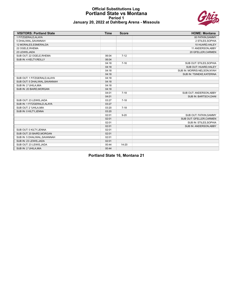#### **Official Substitutions Log Portland State vs Montana Period 1 January 20, 2022 at Dahlberg Arena - Missoula**



| <b>VISITORS: Portland State</b> | <b>Time</b> | <b>Score</b> | <b>HOME: Montana</b>        |
|---------------------------------|-------------|--------------|-----------------------------|
| 1 FITZGERALD, ALAYA             |             |              | 00 FATKIN, SAMMY            |
| 5 DHALIWAL, SAVANNAH            |             |              | 2 STILES, SOPHIA            |
| 12 MORALES, ESMERALDA           |             |              | 10 HUARD, HALEY             |
| 22 OGELE, RHEMA                 |             |              | 11 ANDERSON, ABBY           |
| 23 LEWIS, JADA                  |             |              | 20 GFELLER, CARMEN          |
| SUB OUT: 22 OGELE, RHEMA        | 06:04       | $7 - 12$     |                             |
| SUB IN: 4 KELTY, REILLY         | 06:04       |              |                             |
|                                 | 04:18       | $7 - 16$     | SUB OUT: STILES, SOPHIA     |
|                                 | 04:18       |              | SUB OUT: HUARD, HALEY       |
|                                 | 04:18       |              | SUB IN: MORRIS-NELSON, NYAH |
|                                 | 04:18       |              | SUB IN: TSINEKE, KATERINA   |
| SUB OUT: 1 FITZGERALD, ALAYA    | 04:18       |              |                             |
| SUB OUT: 5 DHALIWAL, SAVANNAH   | 04:18       |              |                             |
| SUB IN: 2 'UHILA, MIA           | 04:18       |              |                             |
| SUB IN: 20 BAIRD, MORGAN        | 04:18       |              |                             |
|                                 | 04:01       | $7 - 18$     | SUB OUT: ANDERSON, ABBY     |
|                                 | 04:01       |              | SUB IN: BARTSCH, DANI       |
| SUB OUT: 23 LEWIS, JADA         | 03:27       | $7 - 18$     |                             |
| SUB IN: 1 FITZGERALD, ALAYA     | 03:27       |              |                             |
| SUB OUT: 2 'UHILA, MIA          | 03:20       | $7 - 18$     |                             |
| SUB IN: 0 KILTY, JENNA          | 03:20       |              |                             |
|                                 | 02:01       | $9 - 20$     | SUB OUT: FATKIN, SAMMY      |
|                                 | 02:01       |              | SUB OUT: GFELLER, CARMEN    |
|                                 | 02:01       |              | SUB IN: STILES, SOPHIA      |
|                                 | 02:01       |              | SUB IN: ANDERSON, ABBY      |
| SUB OUT: 0 KILTY, JENNA         | 02:01       |              |                             |
| SUB OUT: 20 BAIRD MORGAN        | 02:01       |              |                             |
| SUB IN: 5 DHALIWAL, SAVANNAH    | 02:01       |              |                             |
| SUB IN: 23 LEWIS, JADA          | 02:01       |              |                             |
| SUB OUT: 23 LEWIS, JADA         | 00:44       | 14-20        |                             |
| SUB IN: 2 'UHILA, MIA           | 00:44       |              |                             |

**Portland State 16, Montana 21**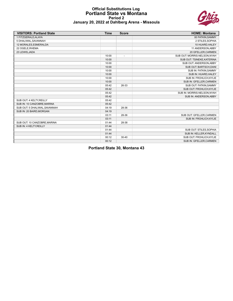#### **Official Substitutions Log Portland State vs Montana Period 2 January 20, 2022 at Dahlberg Arena - Missoula**



| <b>VISITORS: Portland State</b> | <b>Time</b> | <b>Score</b>   | <b>HOME: Montana</b>         |
|---------------------------------|-------------|----------------|------------------------------|
| 1 FITZGERALD.ALAYA              |             |                | 00 FATKIN, SAMMY             |
| 5 DHALIWAL, SAVANNAH            |             |                | 2 STILES, SOPHIA             |
| 12 MORALES, ESMERALDA           |             |                | 10 HUARD, HALEY              |
| 22 OGELE, RHEMA                 |             |                | 11 ANDERSON, ABBY            |
| 23 LEWIS, JADA                  |             |                | 20 GFELLER, CARMEN           |
|                                 | 10:00       | $\blacksquare$ | SUB OUT: MORRIS-NELSON, NYAH |
|                                 | 10:00       |                | SUB OUT: TSINEKE, KATERINA   |
|                                 | 10:00       |                | SUB OUT: ANDERSON, ABBY      |
|                                 | 10:00       |                | SUB OUT: BARTSCH, DANI       |
|                                 | 10:00       |                | SUB IN: FATKIN, SAMMY        |
|                                 | 10:00       |                | SUB IN: HUARD, HALEY         |
|                                 | 10:00       |                | SUB IN: FROHLICH, KYLIE      |
|                                 | 10:00       |                | SUB IN: GFELLER, CARMEN      |
|                                 | 05:42       | 26-33          | SUB OUT: FATKIN, SAMMY       |
|                                 | 05:42       |                | SUB OUT: FROHLICH, KYLIE     |
|                                 | 05:42       |                | SUB IN: MORRIS-NELSON, NYAH  |
|                                 | 05:42       |                | SUB IN: ANDERSON, ABBY       |
| SUB OUT: 4 KELTY, REILLY        | 05:42       |                |                              |
| SUB IN: 10 CANZOBRE, MARINA     | 05:42       |                |                              |
| SUB OUT: 5 DHALIWAL, SAVANNAH   | 04:19       | 28-36          |                              |
| SUB IN: 20 BAIRD, MORGAN        | 04:19       |                |                              |
|                                 | 03:11       | 28-36          | SUB OUT: GFELLER, CARMEN     |
|                                 | 03:11       |                | SUB IN: FROHLICH, KYLIE      |
| SUB OUT: 10 CANZOBRE, MARINA    | 01:44       | 28-38          |                              |
| SUB IN: 4 KELTY, REILLY         | 01:44       |                |                              |
|                                 | 01:44       |                | SUB OUT: STILES, SOPHIA      |
|                                 | 01:44       |                | SUB IN: KELLER, KYNDALL      |
|                                 | 00:12       | $30 - 40$      | SUB OUT: FROHLICH, KYLIE     |
|                                 | 00:12       |                | SUB IN: GFELLER, CARMEN      |

**Portland State 30, Montana 43**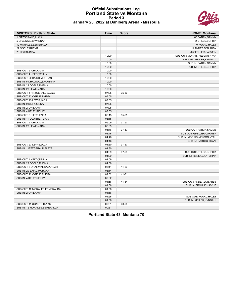#### **Official Substitutions Log Portland State vs Montana Period 3 January 20, 2022 at Dahlberg Arena - Missoula**



| <b>VISITORS: Portland State</b> | Time  | <b>Score</b>             | <b>HOME: Montana</b>                             |
|---------------------------------|-------|--------------------------|--------------------------------------------------|
| 1 FITZGERALD, ALAYA             |       |                          | 00 FATKIN, SAMMY                                 |
| 5 DHALIWAL, SAVANNAH            |       |                          | 2 STILES, SOPHIA                                 |
| 12 MORALES, ESMERALDA           |       |                          | 10 HUARD, HALEY                                  |
| 22 OGELE, RHEMA                 |       |                          | 11 ANDERSON, ABBY                                |
| 23 LEWIS, JADA                  |       |                          | 20 GFELLER, CARMEN                               |
|                                 | 10:00 | $\overline{\phantom{a}}$ | SUB OUT: MORRIS-NELSON, NYAH                     |
|                                 | 10:00 |                          | SUB OUT: KELLER, KYNDALL                         |
|                                 | 10:00 |                          | SUB IN: FATKIN, SAMMY                            |
|                                 | 10:00 |                          | SUB IN: STILES, SOPHIA                           |
| SUB OUT: 2 'UHILA, MIA          | 10:00 |                          |                                                  |
| SUB OUT: 4 KELTY, REILLY        | 10:00 |                          |                                                  |
| SUB OUT: 20 BAIRD, MORGAN       | 10:00 |                          |                                                  |
| SUB IN: 5 DHALIWAL, SAVANNAH    | 10:00 |                          |                                                  |
| SUB IN: 22 OGELE.RHEMA          | 10:00 |                          |                                                  |
| SUB IN: 23 LEWIS, JADA          | 10:00 |                          |                                                  |
| SUB OUT: 1 FITZGERALD, ALAYA    | 07:05 | 35-50                    |                                                  |
| SUB OUT: 22 OGELE, RHEMA        | 07:05 |                          |                                                  |
| SUB OUT: 23 LEWIS, JADA         | 07:05 |                          |                                                  |
| SUB IN: 0 KILTY, JENNA          | 07:05 |                          |                                                  |
| SUB IN: 2 'UHILA, MIA           | 07:05 |                          |                                                  |
| SUB IN: 4 KELTY, REILLY         | 07:05 |                          |                                                  |
| SUB OUT: 0 KILTY, JENNA         | 06:15 | 35-55                    |                                                  |
| SUB IN: 11 UGARTE, ITZIAR       | 06:15 |                          |                                                  |
| SUB OUT: 2 'UHILA, MIA          | 05:09 | 37-57                    |                                                  |
| SUB IN: 23 LEWIS, JADA          | 05:09 |                          |                                                  |
|                                 | 04:46 | 37-57                    | SUB OUT: FATKIN, SAMMY                           |
|                                 | 04:46 |                          | SUB OUT: GFELLER, CARMEN                         |
|                                 | 04:46 |                          | SUB IN: MORRIS-NELSON, NYAH                      |
|                                 | 04:46 |                          | SUB IN: BARTSCH, DANI                            |
| SUB OUT: 23 LEWIS, JADA         | 04:30 | 37-57                    |                                                  |
| SUB IN: 1 FITZGERALD.ALAYA      | 04:30 |                          |                                                  |
|                                 | 04:09 | 37-59                    | SUB OUT: STILES, SOPHIA                          |
|                                 | 04:09 |                          | SUB IN: TSINEKE, KATERINA                        |
| SUB OUT: 4 KELTY, REILLY        | 04:09 |                          |                                                  |
| SUB IN: 22 OGELE, RHEMA         | 04:09 |                          |                                                  |
| SUB OUT: 5 DHALIWAL, SAVANNAH   | 03:14 | 41-59                    |                                                  |
| SUB IN: 20 BAIRD, MORGAN        | 03:14 |                          |                                                  |
| SUB OUT: 22 OGELE, RHEMA        | 02:32 | $41 - 61$                |                                                  |
| SUB IN: 4 KELTY, REILLY         | 02:32 |                          |                                                  |
|                                 | 01:56 | 41-64                    | SUB OUT: ANDERSON, ABBY                          |
|                                 | 01:56 |                          | SUB IN: FROHLICH, KYLIE                          |
| SUB OUT: 12 MORALES, ESMERALDA  | 01:56 |                          |                                                  |
| SUB IN: 2 'UHILA, MIA           | 01:56 |                          |                                                  |
|                                 | 01:56 |                          |                                                  |
|                                 | 01:56 |                          | SUB OUT: HUARD, HALEY<br>SUB IN: KELLER, KYNDALL |
|                                 |       | 43-68                    |                                                  |
| SUB OUT: 11 UGARTE, ITZIAR      | 00:31 |                          |                                                  |
| SUB IN: 12 MORALES, ESMERALDA   | 00:31 |                          |                                                  |

**Portland State 43, Montana 70**